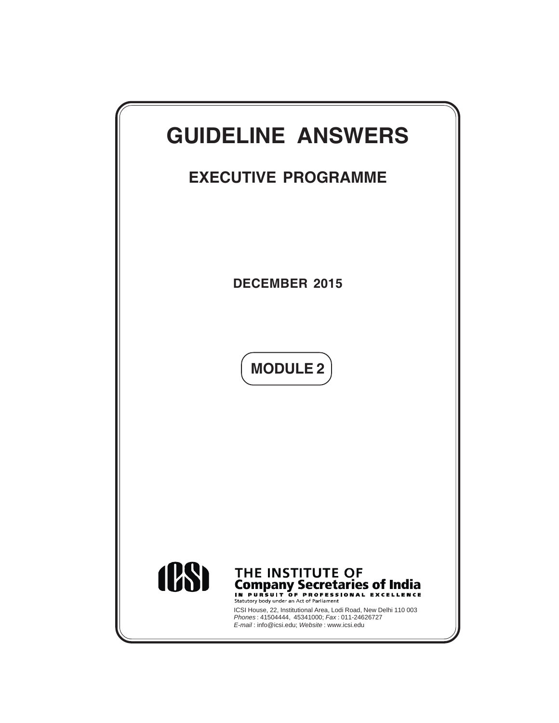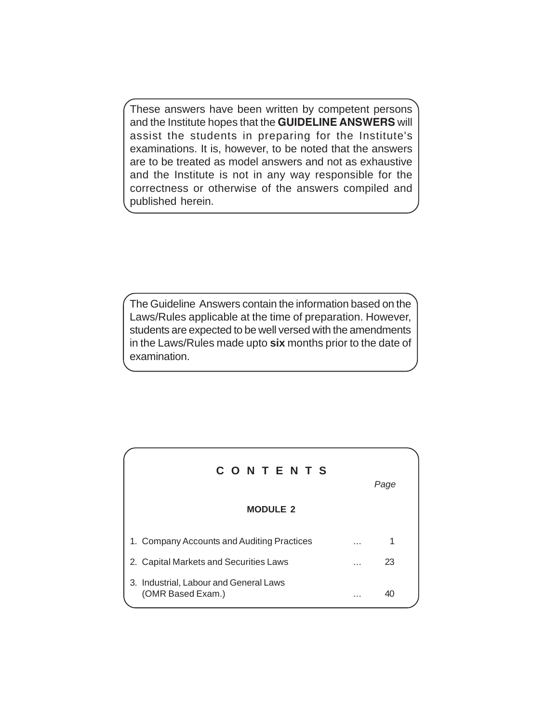These answers have been written by competent persons and the Institute hopes that the **GUIDELINE ANSWERS** will assist the students in preparing for the Institute's examinations. It is, however, to be noted that the answers are to be treated as model answers and not as exhaustive and the Institute is not in any way responsible for the correctness or otherwise of the answers compiled and published herein.

The Guideline Answers contain the information based on the Laws/Rules applicable at the time of preparation. However, students are expected to be well versed with the amendments in the Laws/Rules made upto **six** months prior to the date of examination.

| CONTENTS                                                    |   | Page |  |
|-------------------------------------------------------------|---|------|--|
| <b>MODULE 2</b>                                             |   |      |  |
| 1. Company Accounts and Auditing Practices                  | . |      |  |
| 2. Capital Markets and Securities Laws                      | . | 23   |  |
| 3. Industrial, Labour and General Laws<br>(OMR Based Exam.) | . |      |  |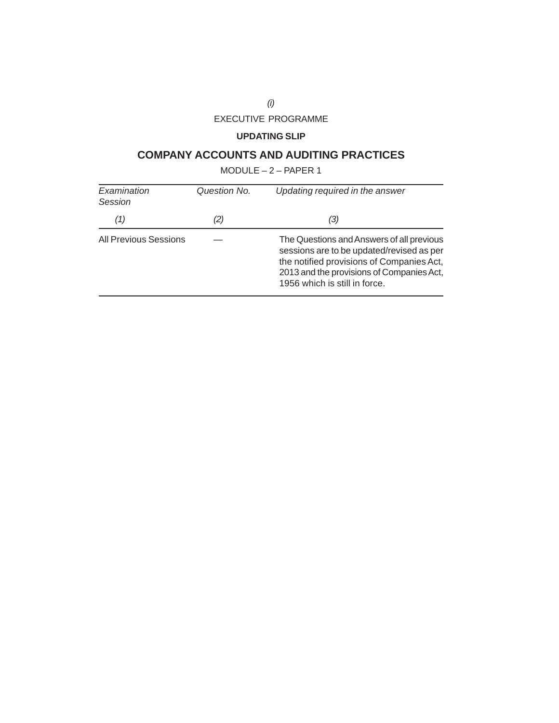# EXECUTIVE PROGRAMME

# **UPDATING SLIP**

# **COMPANY ACCOUNTS AND AUDITING PRACTICES**

MODULE – 2 – PAPER 1

| Examination<br>Session       | Question No. | Updating required in the answer                                                                                                                                                                                   |  |  |
|------------------------------|--------------|-------------------------------------------------------------------------------------------------------------------------------------------------------------------------------------------------------------------|--|--|
| (1)                          | (2)          | (3)                                                                                                                                                                                                               |  |  |
| <b>All Previous Sessions</b> |              | The Questions and Answers of all previous<br>sessions are to be updated/revised as per<br>the notified provisions of Companies Act,<br>2013 and the provisions of Companies Act,<br>1956 which is still in force. |  |  |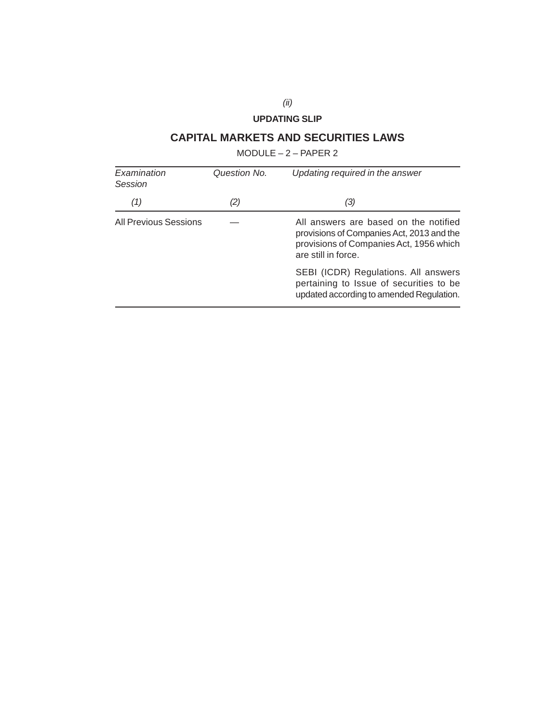# **UPDATING SLIP**

# **CAPITAL MARKETS AND SECURITIES LAWS**

MODULE – 2 – PAPER 2

| Examination<br>Session       | Question No. | Updating required in the answer                                                                                                                      |  |  |
|------------------------------|--------------|------------------------------------------------------------------------------------------------------------------------------------------------------|--|--|
| (1)                          | (2)          | (3)                                                                                                                                                  |  |  |
| <b>All Previous Sessions</b> |              | All answers are based on the notified<br>provisions of Companies Act, 2013 and the<br>provisions of Companies Act, 1956 which<br>are still in force. |  |  |
|                              |              | SEBI (ICDR) Regulations. All answers<br>pertaining to Issue of securities to be<br>updated according to amended Regulation.                          |  |  |

*(ii)*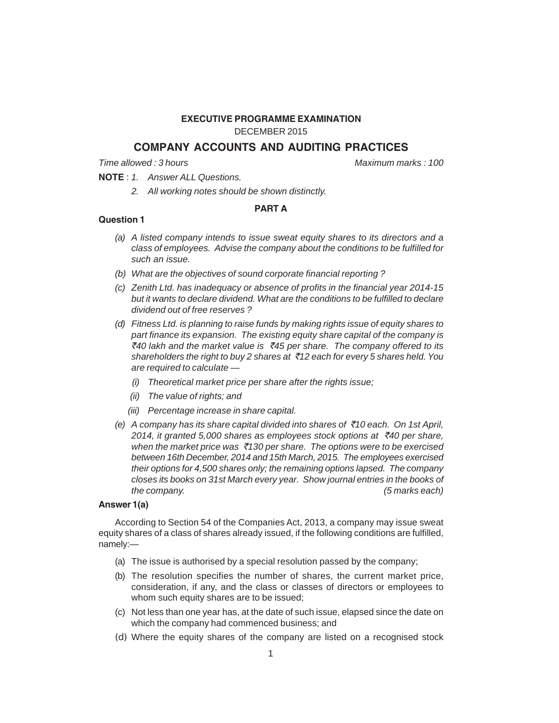#### **EXECUTIVE PROGRAMME EXAMINATION**

DECEMBER 2015

# **COMPANY ACCOUNTS AND AUDITING PRACTICES**

*Time allowed : 3 hours Maximum marks : 100*

**NOTE** : *1. Answer ALL Questions.*

*2. All working notes should be shown distinctly.*

# **PART A**

#### **Question 1**

- *(a) A listed company intends to issue sweat equity shares to its directors and a class of employees. Advise the company about the conditions to be fulfilled for such an issue.*
- *(b) What are the objectives of sound corporate financial reporting ?*
- *(c) Zenith Ltd. has inadequacy or absence of profits in the financial year 2014-15 but it wants to declare dividend. What are the conditions to be fulfilled to declare dividend out of free reserves ?*
- *(d) Fitness Ltd. is planning to raise funds by making rights issue of equity shares to part finance its expansion. The existing equity share capital of the company is* `*40 lakh and the market value is* `*45 per share. The company offered to its shareholders the right to buy 2 shares at* `*12 each for every 5 shares held. You are required to calculate —*
	- *(i) Theoretical market price per share after the rights issue;*
	- *(ii) The value of rights; and*
	- *(iii) Percentage increase in share capital.*
- *(e) A company has its share capital divided into shares of* `*10 each. On 1st April, 2014, it granted 5,000 shares as employees stock options at* `*40 per share, when the market price was* `*130 per share. The options were to be exercised between 16th December, 2014 and 15th March, 2015. The employees exercised their options for 4,500 shares only; the remaining options lapsed. The company closes its books on 31st March every year. Show journal entries in the books of the company. (5 marks each)*

# **Answer 1(a)**

According to Section 54 of the Companies Act, 2013, a company may issue sweat equity shares of a class of shares already issued, if the following conditions are fulfilled, namely:—

- (a) The issue is authorised by a special resolution passed by the company;
- (b) The resolution specifies the number of shares, the current market price, consideration, if any, and the class or classes of directors or employees to whom such equity shares are to be issued;
- (c) Not less than one year has, at the date of such issue, elapsed since the date on which the company had commenced business; and
- (d) Where the equity shares of the company are listed on a recognised stock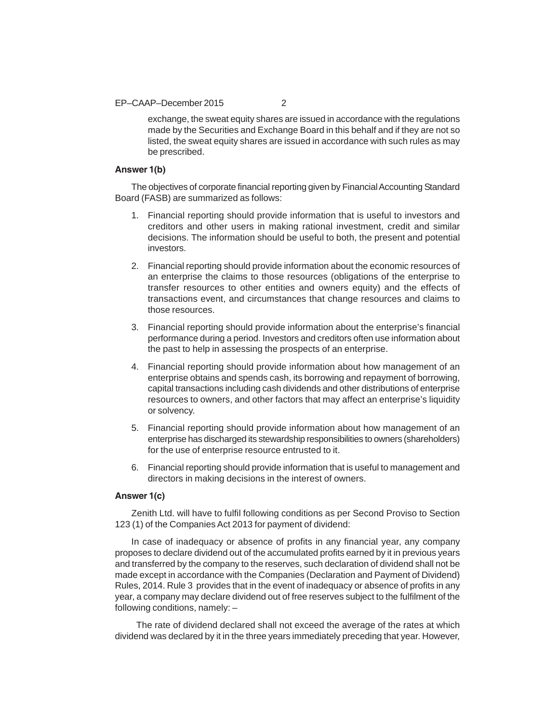EP–CAAP–December 2015 2

exchange, the sweat equity shares are issued in accordance with the regulations made by the Securities and Exchange Board in this behalf and if they are not so listed, the sweat equity shares are issued in accordance with such rules as may be prescribed.

#### **Answer 1(b)**

The objectives of corporate financial reporting given by Financial Accounting Standard Board (FASB) are summarized as follows:

- 1. Financial reporting should provide information that is useful to investors and creditors and other users in making rational investment, credit and similar decisions. The information should be useful to both, the present and potential investors.
- 2. Financial reporting should provide information about the economic resources of an enterprise the claims to those resources (obligations of the enterprise to transfer resources to other entities and owners equity) and the effects of transactions event, and circumstances that change resources and claims to those resources.
- 3. Financial reporting should provide information about the enterprise's financial performance during a period. Investors and creditors often use information about the past to help in assessing the prospects of an enterprise.
- 4. Financial reporting should provide information about how management of an enterprise obtains and spends cash, its borrowing and repayment of borrowing, capital transactions including cash dividends and other distributions of enterprise resources to owners, and other factors that may affect an enterprise's liquidity or solvency.
- 5. Financial reporting should provide information about how management of an enterprise has discharged its stewardship responsibilities to owners (shareholders) for the use of enterprise resource entrusted to it.
- 6. Financial reporting should provide information that is useful to management and directors in making decisions in the interest of owners.

#### **Answer 1(c)**

Zenith Ltd. will have to fulfil following conditions as per Second Proviso to Section 123 (1) of the Companies Act 2013 for payment of dividend:

In case of inadequacy or absence of profits in any financial year, any company proposes to declare dividend out of the accumulated profits earned by it in previous years and transferred by the company to the reserves, such declaration of dividend shall not be made except in accordance with the Companies (Declaration and Payment of Dividend) Rules, 2014. Rule 3 provides that in the event of inadequacy or absence of profits in any year, a company may declare dividend out of free reserves subject to the fulfilment of the following conditions, namely: –

 The rate of dividend declared shall not exceed the average of the rates at which dividend was declared by it in the three years immediately preceding that year. However,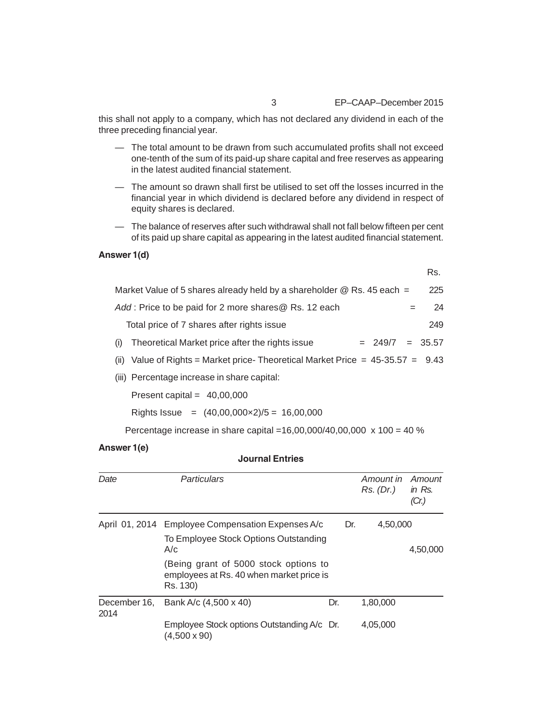Rs.

this shall not apply to a company, which has not declared any dividend in each of the three preceding financial year.

- The total amount to be drawn from such accumulated profits shall not exceed one-tenth of the sum of its paid-up share capital and free reserves as appearing in the latest audited financial statement.
- The amount so drawn shall first be utilised to set off the losses incurred in the financial year in which dividend is declared before any dividend in respect of equity shares is declared.
- The balance of reserves after such withdrawal shall not fall below fifteen per cent of its paid up share capital as appearing in the latest audited financial statement.

# **Answer 1(d)**

| Market Value of 5 shares already held by a shareholder $@$ Rs. 45 each =         | 225 |
|----------------------------------------------------------------------------------|-----|
| Add: Price to be paid for 2 more shares@ Rs. 12 each                             | 24  |
| Total price of 7 shares after rights issue                                       | 249 |
| Theoretical Market price after the rights issue<br>$= 249/7 = 35.57$<br>(i)      |     |
| (ii) Value of Rights = Market price-Theoretical Market Price = $45-35.57 = 9.43$ |     |
|                                                                                  |     |

(iii) Percentage increase in share capital:

Present capital = 40,00,000

Rights Issue =  $(40,00,000 \times 2)/5 = 16,00,000$ 

Percentage increase in share capital =16,00,000/40,00,000 x 100 = 40 %

# **Answer 1(e)**

# **Journal Entries**

| Date                 | Particulars                                                                                   |     |     | Amount in<br>Rs. (Dr.) | Amount<br>in $Rs.$<br>(Cr.) |
|----------------------|-----------------------------------------------------------------------------------------------|-----|-----|------------------------|-----------------------------|
|                      | April 01, 2014 Employee Compensation Expenses A/c                                             |     | Dr. | 4,50,000               |                             |
|                      | To Employee Stock Options Outstanding<br>A/c                                                  |     |     |                        | 4,50,000                    |
|                      | (Being grant of 5000 stock options to<br>employees at Rs. 40 when market price is<br>Rs. 130) |     |     |                        |                             |
| December 16,<br>2014 | Bank A/c (4,500 x 40)                                                                         | Dr. |     | 1,80,000               |                             |
|                      | Employee Stock options Outstanding A/c Dr.<br>(4.500 x 90)                                    |     |     | 4,05,000               |                             |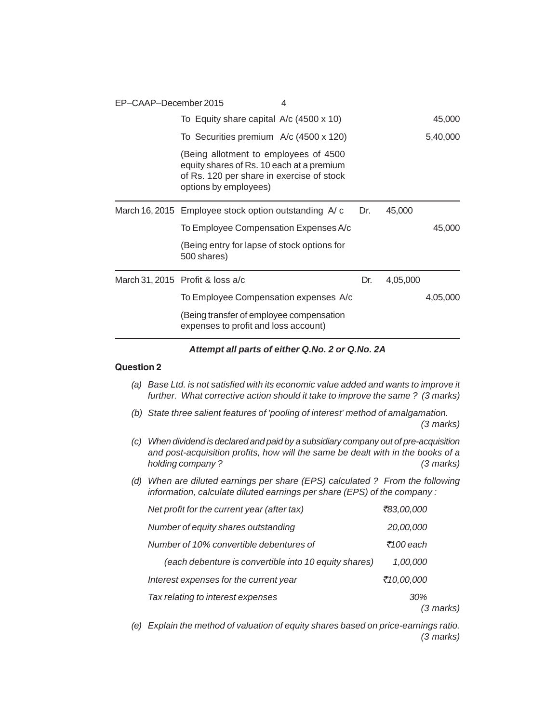| EP-CAAP-December 2015 |                                                                                                                                                          | 4 |     |          |          |
|-----------------------|----------------------------------------------------------------------------------------------------------------------------------------------------------|---|-----|----------|----------|
|                       | To Equity share capital A/c (4500 x 10)                                                                                                                  |   |     |          | 45,000   |
|                       | To Securities premium A/c (4500 x 120)                                                                                                                   |   |     |          | 5,40,000 |
|                       | (Being allotment to employees of 4500<br>equity shares of Rs. 10 each at a premium<br>of Rs. 120 per share in exercise of stock<br>options by employees) |   |     |          |          |
|                       | March 16, 2015 Employee stock option outstanding A/c                                                                                                     |   | Dr. | 45,000   |          |
|                       | To Employee Compensation Expenses A/c                                                                                                                    |   |     |          | 45,000   |
|                       | (Being entry for lapse of stock options for<br>500 shares)                                                                                               |   |     |          |          |
|                       | March 31, 2015 Profit & loss a/c                                                                                                                         |   | Dr. | 4,05,000 |          |
|                       | To Employee Compensation expenses A/c                                                                                                                    |   |     |          | 4,05,000 |
|                       | (Being transfer of employee compensation<br>expenses to profit and loss account)                                                                         |   |     |          |          |
|                       |                                                                                                                                                          |   |     |          |          |

#### *Attempt all parts of either Q.No. 2 or Q.No. 2A*

# **Question 2**

- *(a) Base Ltd. is not satisfied with its economic value added and wants to improve it further. What corrective action should it take to improve the same ? (3 marks)*
- *(b) State three salient features of 'pooling of interest' method of amalgamation. (3 marks)*
- *(c) When dividend is declared and paid by a subsidiary company out of pre-acquisition and post-acquisition profits, how will the same be dealt with in the books of a holding company ? (3 marks)*
- *(d) When are diluted earnings per share (EPS) calculated ? From the following information, calculate diluted earnings per share (EPS) of the company :*

| Net profit for the current year (after tax)           | ₹83,00,000 |  |
|-------------------------------------------------------|------------|--|
| Number of equity shares outstanding                   | 20,00,000  |  |
| Number of 10% convertible debentures of               | ₹100 each  |  |
| (each debenture is convertible into 10 equity shares) | 1,00,000   |  |
| Interest expenses for the current year                | ₹10,00,000 |  |
| Tax relating to interest expenses                     | 30%        |  |
|                                                       | (3 marks)  |  |

*(e) Explain the method of valuation of equity shares based on price-earnings ratio. (3 marks)*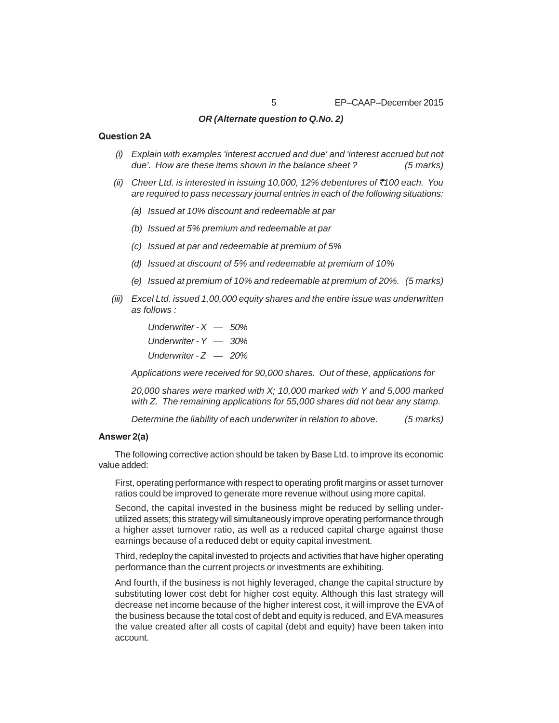#### *OR (Alternate question to Q.No. 2)*

#### **Question 2A**

- *(i) Explain with examples 'interest accrued and due' and 'interest accrued but not due'. How are these items shown in the balance sheet ? (5 marks)*
- *(ii) Cheer Ltd. is interested in issuing 10,000, 12% debentures of* `*100 each. You are required to pass necessary journal entries in each of the following situations:*
	- *(a) Issued at 10% discount and redeemable at par*
	- *(b) Issued at 5% premium and redeemable at par*
	- *(c) Issued at par and redeemable at premium of 5%*
	- *(d) Issued at discount of 5% and redeemable at premium of 10%*
	- *(e) Issued at premium of 10% and redeemable at premium of 20%. (5 marks)*
- *(iii) Excel Ltd. issued 1,00,000 equity shares and the entire issue was underwritten as follows :*

*Underwriter - X — 50% Underwriter - Y — 30% Underwriter - Z — 20%*

*Applications were received for 90,000 shares. Out of these, applications for*

*20,000 shares were marked with X; 10,000 marked with Y and 5,000 marked with Z. The remaining applications for 55,000 shares did not bear any stamp.*

*Determine the liability of each underwriter in relation to above. (5 marks)*

# **Answer 2(a)**

The following corrective action should be taken by Base Ltd. to improve its economic value added:

First, operating performance with respect to operating profit margins or asset turnover ratios could be improved to generate more revenue without using more capital.

Second, the capital invested in the business might be reduced by selling underutilized assets; this strategy will simultaneously improve operating performance through a higher asset turnover ratio, as well as a reduced capital charge against those earnings because of a reduced debt or equity capital investment.

Third, redeploy the capital invested to projects and activities that have higher operating performance than the current projects or investments are exhibiting.

And fourth, if the business is not highly leveraged, change the capital structure by substituting lower cost debt for higher cost equity. Although this last strategy will decrease net income because of the higher interest cost, it will improve the EVA of the business because the total cost of debt and equity is reduced, and EVA measures the value created after all costs of capital (debt and equity) have been taken into account.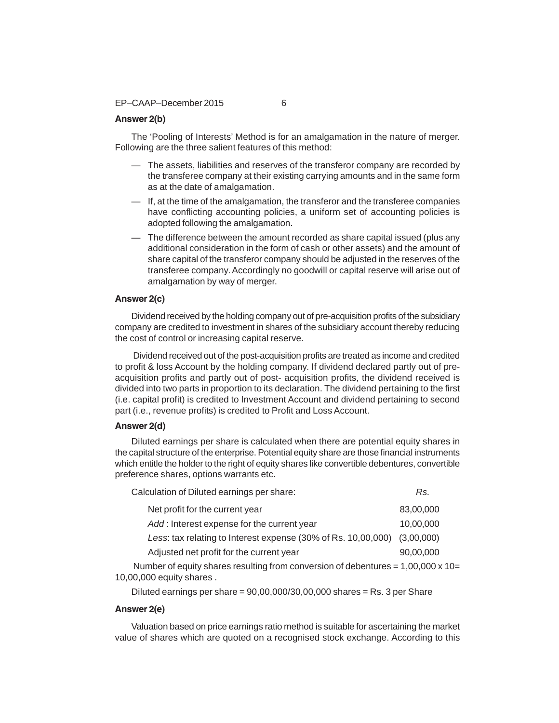#### EP–CAAP–December 2015 6

# **Answer 2(b)**

The 'Pooling of Interests' Method is for an amalgamation in the nature of merger. Following are the three salient features of this method:

- The assets, liabilities and reserves of the transferor company are recorded by the transferee company at their existing carrying amounts and in the same form as at the date of amalgamation.
- If, at the time of the amalgamation, the transferor and the transferee companies have conflicting accounting policies, a uniform set of accounting policies is adopted following the amalgamation.
- The difference between the amount recorded as share capital issued (plus any additional consideration in the form of cash or other assets) and the amount of share capital of the transferor company should be adjusted in the reserves of the transferee company. Accordingly no goodwill or capital reserve will arise out of amalgamation by way of merger.

#### **Answer 2(c)**

Dividend received by the holding company out of pre-acquisition profits of the subsidiary company are credited to investment in shares of the subsidiary account thereby reducing the cost of control or increasing capital reserve.

 Dividend received out of the post-acquisition profits are treated as income and credited to profit & loss Account by the holding company. If dividend declared partly out of preacquisition profits and partly out of post- acquisition profits, the dividend received is divided into two parts in proportion to its declaration. The dividend pertaining to the first (i.e. capital profit) is credited to Investment Account and dividend pertaining to second part (i.e., revenue profits) is credited to Profit and Loss Account.

# **Answer 2(d)**

Diluted earnings per share is calculated when there are potential equity shares in the capital structure of the enterprise. Potential equity share are those financial instruments which entitle the holder to the right of equity shares like convertible debentures, convertible preference shares, options warrants etc.

| Calculation of Diluted earnings per share:                    | Rs.        |
|---------------------------------------------------------------|------------|
| Net profit for the current year                               | 83,00,000  |
| Add: Interest expense for the current year                    | 10,00,000  |
| Less: tax relating to Interest expense (30% of Rs. 10,00,000) | (3,00,000) |
| Adjusted net profit for the current year                      | 90,00,000  |
|                                                               |            |

Number of equity shares resulting from conversion of debentures =  $1,00,000 \times 10=$ 10,00,000 equity shares .

Diluted earnings per share =  $90,00,000/30,00,000$  shares = Rs. 3 per Share

#### **Answer 2(e)**

Valuation based on price earnings ratio method is suitable for ascertaining the market value of shares which are quoted on a recognised stock exchange. According to this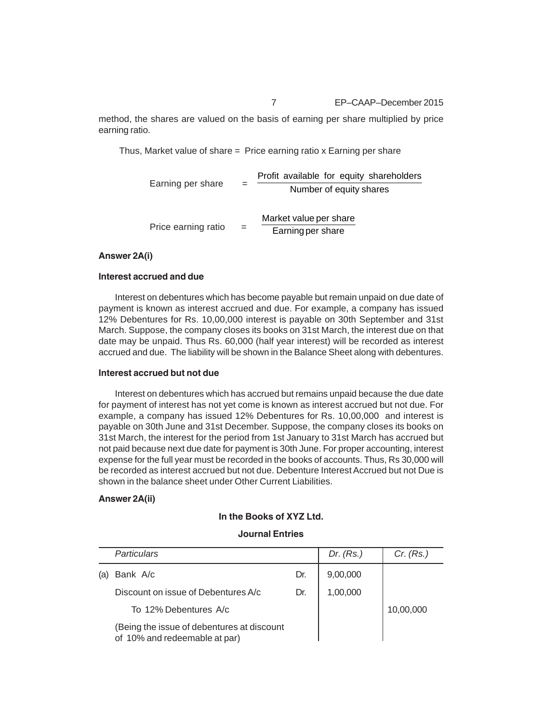7 EP–CAAP–December 2015

method, the shares are valued on the basis of earning per share multiplied by price earning ratio.

Thus, Market value of share = Price earning ratio x Earning per share

Earning per share  $=$   $\frac{1.5 \text{ m} \times 1000 \text{ m/s}}{N \times 1000 \text{ m}}$ Profit available for equity shareholders Price earning ratio  $=$   $\frac{1}{2}$  Earning per share Market value per share

#### **Answer 2A(i)**

#### **Interest accrued and due**

Interest on debentures which has become payable but remain unpaid on due date of payment is known as interest accrued and due. For example, a company has issued 12% Debentures for Rs. 10,00,000 interest is payable on 30th September and 31st March. Suppose, the company closes its books on 31st March, the interest due on that date may be unpaid. Thus Rs. 60,000 (half year interest) will be recorded as interest accrued and due. The liability will be shown in the Balance Sheet along with debentures.

# **Interest accrued but not due**

Interest on debentures which has accrued but remains unpaid because the due date for payment of interest has not yet come is known as interest accrued but not due. For example, a company has issued 12% Debentures for Rs. 10,00,000 and interest is payable on 30th June and 31st December. Suppose, the company closes its books on 31st March, the interest for the period from 1st January to 31st March has accrued but not paid because next due date for payment is 30th June. For proper accounting, interest expense for the full year must be recorded in the books of accounts. Thus, Rs 30,000 will be recorded as interest accrued but not due. Debenture Interest Accrued but not Due is shown in the balance sheet under Other Current Liabilities.

#### **Answer 2A(ii)**

# **In the Books of XYZ Ltd.**

# **Journal Entries**

| <b>Particulars</b>                                                          |     | Dr. $(Rs.)$ | Cr. (Rs.) |
|-----------------------------------------------------------------------------|-----|-------------|-----------|
| Bank A/c                                                                    | Dr. | 9,00,000    |           |
| Discount on issue of Debentures A/c                                         | Dr. | 1,00,000    |           |
| To 12% Debentures A/c                                                       |     |             | 10,00,000 |
| (Being the issue of debentures at discount<br>of 10% and redeemable at par) |     |             |           |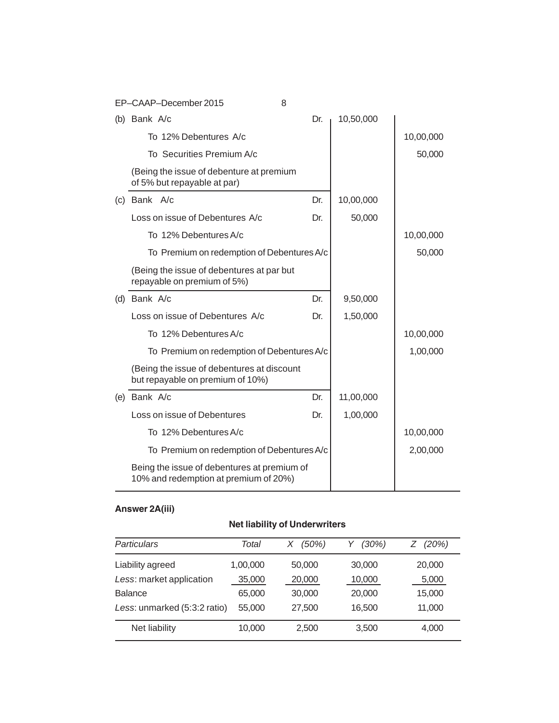| EP-CAAP-December 2015                                                                | 8   |           |           |
|--------------------------------------------------------------------------------------|-----|-----------|-----------|
| (b) Bank $A/c$                                                                       | Dr. | 10,50,000 |           |
| To 12% Debentures A/c                                                                |     |           | 10,00,000 |
| To Securities Premium A/c                                                            |     |           | 50,000    |
| (Being the issue of debenture at premium<br>of 5% but repayable at par)              |     |           |           |
| (c) Bank A/c                                                                         | Dr. | 10,00,000 |           |
| Loss on issue of Debentures A/c                                                      | Dr. | 50,000    |           |
| To 12% Debentures A/c                                                                |     |           | 10,00,000 |
| To Premium on redemption of Debentures A/c                                           |     |           | 50,000    |
| (Being the issue of debentures at par but<br>repayable on premium of 5%)             |     |           |           |
| (d) Bank A/c                                                                         | Dr. | 9,50,000  |           |
| Loss on issue of Debentures A/c                                                      | Dr. | 1,50,000  |           |
| To 12% Debentures A/c                                                                |     |           | 10,00,000 |
| To Premium on redemption of Debentures A/c                                           |     |           | 1,00,000  |
| (Being the issue of debentures at discount<br>but repayable on premium of 10%)       |     |           |           |
| (e) Bank A/c                                                                         | Dr. | 11,00,000 |           |
| Loss on issue of Debentures                                                          | Dr. | 1,00,000  |           |
| To 12% Debentures A/c                                                                |     |           | 10,00,000 |
| To Premium on redemption of Debentures A/c                                           |     |           | 2,00,000  |
| Being the issue of debentures at premium of<br>10% and redemption at premium of 20%) |     |           |           |

# **Answer 2A(iii)**

# **Net liability of Underwriters**

| Particulars                  | Total    | $(50\%)$<br>Χ | $(30\%)$ | (20%)  |
|------------------------------|----------|---------------|----------|--------|
| Liability agreed             | 1,00,000 | 50,000        | 30,000   | 20,000 |
| Less: market application     | 35,000   | 20,000        | 10,000   | 5,000  |
| <b>Balance</b>               | 65,000   | 30,000        | 20,000   | 15,000 |
| Less: unmarked (5:3:2 ratio) | 55,000   | 27,500        | 16.500   | 11,000 |
| Net liability                | 10,000   | 2,500         | 3,500    | 4,000  |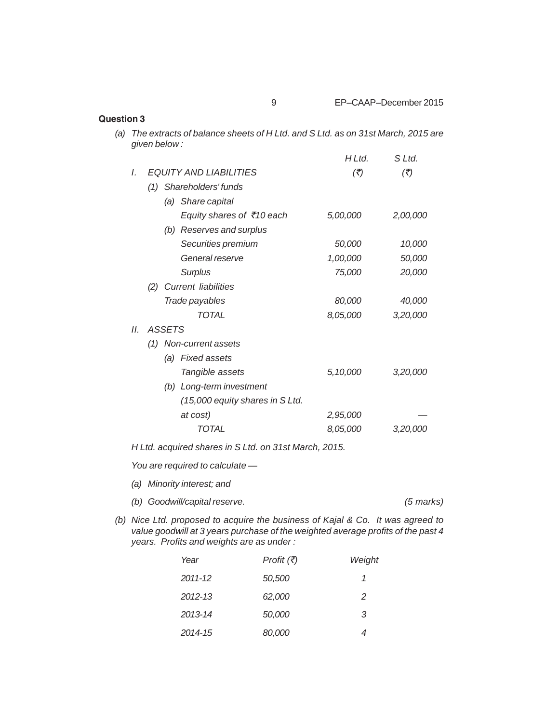| <b>Question 3</b> |                                                                                                |                                                       |                            |                            |  |
|-------------------|------------------------------------------------------------------------------------------------|-------------------------------------------------------|----------------------------|----------------------------|--|
| (a)               | The extracts of balance sheets of H Ltd. and S Ltd. as on 31st March, 2015 are<br>given below: |                                                       |                            |                            |  |
|                   |                                                                                                |                                                       | H L t d.                   | S Ltd.                     |  |
|                   | $\mathcal{L}$                                                                                  | <b>EQUITY AND LIABILITIES</b>                         | $(\overline{\mathcal{F}})$ | $(\overline{\mathcal{F}})$ |  |
|                   |                                                                                                | (1) Shareholders' funds                               |                            |                            |  |
|                   |                                                                                                | (a) Share capital                                     |                            |                            |  |
|                   |                                                                                                | Equity shares of ₹10 each                             | 5,00,000                   | 2,00,000                   |  |
|                   |                                                                                                | (b) Reserves and surplus                              |                            |                            |  |
|                   |                                                                                                | Securities premium                                    | 50,000                     | 10,000                     |  |
|                   |                                                                                                | General reserve                                       | 1,00,000                   | 50,000                     |  |
|                   |                                                                                                | <b>Surplus</b>                                        | 75,000                     | 20,000                     |  |
|                   |                                                                                                | <b>Current liabilities</b><br>(2)                     |                            |                            |  |
|                   |                                                                                                | Trade payables                                        | 80,000                     | 40,000                     |  |
|                   |                                                                                                | <b>TOTAL</b>                                          | 8,05,000                   | 3,20,000                   |  |
|                   | II.                                                                                            | <b>ASSETS</b>                                         |                            |                            |  |
|                   |                                                                                                | (1) Non-current assets                                |                            |                            |  |
|                   |                                                                                                | (a) Fixed assets                                      |                            |                            |  |
|                   |                                                                                                | Tangible assets                                       | 5,10,000                   | 3,20,000                   |  |
|                   |                                                                                                | (b) Long-term investment                              |                            |                            |  |
|                   |                                                                                                | (15,000 equity shares in S Ltd.                       |                            |                            |  |
|                   |                                                                                                | at cost)                                              | 2,95,000                   |                            |  |
|                   |                                                                                                | <b>TOTAL</b>                                          | 8,05,000                   | 3,20,000                   |  |
|                   |                                                                                                | H Ltd. acquired shares in S Ltd. on 31st March, 2015. |                            |                            |  |
|                   |                                                                                                | You are required to calculate -                       |                            |                            |  |
|                   |                                                                                                | (a) Minority interest; and                            |                            |                            |  |
|                   |                                                                                                | (b) Goodwill/capital reserve.                         |                            | (5 marks)                  |  |

*(b) Nice Ltd. proposed to acquire the business of Kajal & Co. It was agreed to value goodwill at 3 years purchase of the weighted average profits of the past 4 years. Profits and weights are as under :*

| Year    | <i>Profit (₹)</i> | Weight        |
|---------|-------------------|---------------|
| 2011-12 | 50,500            | 1             |
| 2012-13 | 62,000            | $\mathcal{P}$ |
| 2013-14 | 50,000            | 3             |
| 2014-15 | 80,000            | 4             |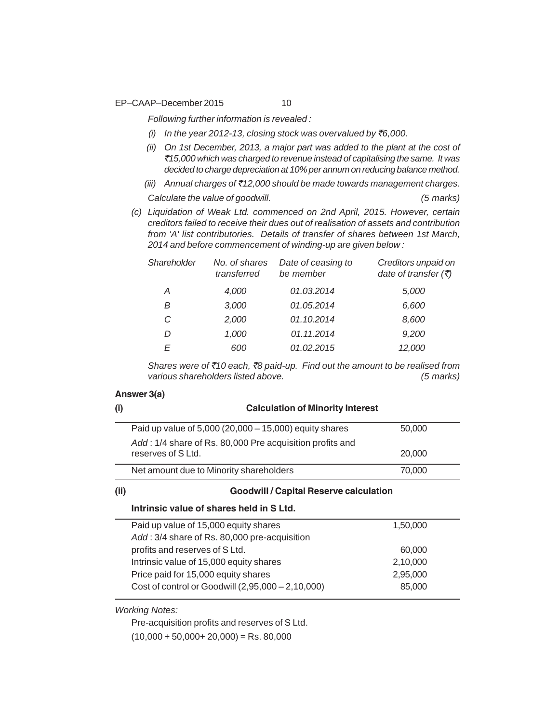EP–CAAP–December 2015 10

*Following further information is revealed :*

- *(i) In the year 2012-13, closing stock was overvalued by* `*6,000.*
- *(ii) On 1st December, 2013, a major part was added to the plant at the cost of* `*15,000 which was charged to revenue instead of capitalising the same. It was decided to charge depreciation at 10% per annum on reducing balance method.*
- *(iii) Annual charges of* `*12,000 should be made towards management charges. Calculate the value of goodwill. (5 marks)*
- *(c) Liquidation of Weak Ltd. commenced on 2nd April, 2015. However, certain creditors failed to receive their dues out of realisation of assets and contribution from 'A' list contributories. Details of transfer of shares between 1st March, 2014 and before commencement of winding-up are given below :*

| Shareholder | No. of shares<br>transferred | Date of ceasing to<br>be member | Creditors unpaid on<br>date of transfer $(\bar{\tau})$ |
|-------------|------------------------------|---------------------------------|--------------------------------------------------------|
| Α           | 4,000                        | 01.03.2014                      | 5,000                                                  |
| В           | 3,000                        | 01.05.2014                      | 6,600                                                  |
| C           | 2.000                        | 01.10.2014                      | 8,600                                                  |
| D           | 1.000                        | 01.11.2014                      | 9,200                                                  |
| F           | 600                          | 01.02.2015                      | 12,000                                                 |
|             |                              |                                 |                                                        |

*Shares were of* `*10 each,* `*8 paid-up. Find out the amount to be realised from various shareholders listed above. (5 marks)*

#### **Answer 3(a)**

| (i)  | <b>Calculation of Minority Interest</b>                                       |          |  |  |
|------|-------------------------------------------------------------------------------|----------|--|--|
|      | Paid up value of $5,000(20,000 - 15,000)$ equity shares                       | 50,000   |  |  |
|      | Add: 1/4 share of Rs. 80,000 Pre acquisition profits and<br>reserves of SLtd. | 20,000   |  |  |
|      | Net amount due to Minority shareholders                                       | 70,000   |  |  |
| (ii) | <b>Goodwill / Capital Reserve calculation</b>                                 |          |  |  |
|      | Intrinsic value of shares held in S Ltd.                                      |          |  |  |
|      | Paid up value of 15,000 equity shares                                         | 1,50,000 |  |  |
|      | Add: 3/4 share of Rs. 80,000 pre-acquisition                                  |          |  |  |
|      | profits and reserves of SLtd.                                                 | 60,000   |  |  |
|      | Intrinsic value of 15,000 equity shares                                       | 2,10,000 |  |  |
|      | Price paid for 15,000 equity shares                                           | 2,95,000 |  |  |
|      |                                                                               |          |  |  |

*Working Notes:*

Pre-acquisition profits and reserves of S Ltd.

 $(10,000 + 50,000 + 20,000) =$ Rs. 80,000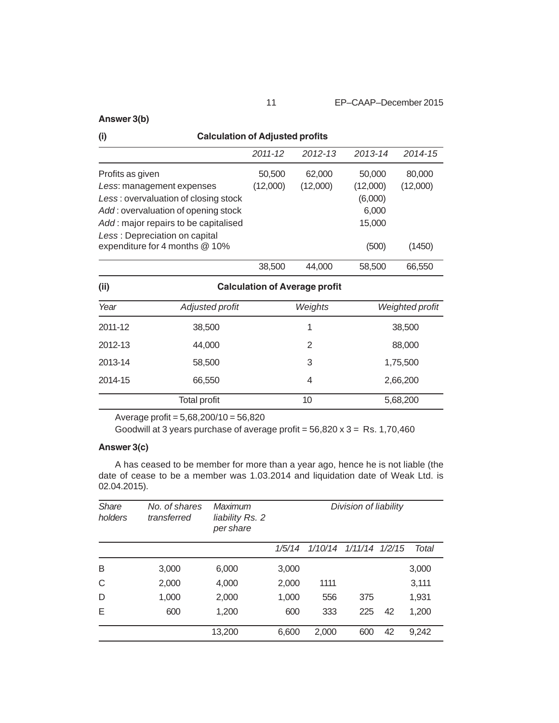# **Answer 3(b)**

| (i)<br><b>Calculation of Adjusted profits</b> |                                                                 |          |                                      |          |                        |  |
|-----------------------------------------------|-----------------------------------------------------------------|----------|--------------------------------------|----------|------------------------|--|
|                                               |                                                                 | 2011-12  | $2012 - 13$                          | 2013-14  | 2014-15                |  |
| Profits as given                              |                                                                 | 50,500   | 62,000                               | 50,000   | 80,000                 |  |
|                                               | Less: management expenses                                       | (12,000) | (12,000)                             | (12,000) | (12,000)               |  |
|                                               | Less: overvaluation of closing stock                            |          |                                      | (6,000)  |                        |  |
|                                               | Add: overvaluation of opening stock                             |          |                                      | 6,000    |                        |  |
|                                               | Add: major repairs to be capitalised                            |          |                                      | 15,000   |                        |  |
|                                               | Less: Depreciation on capital<br>expenditure for 4 months @ 10% |          |                                      | (500)    | (1450)                 |  |
|                                               |                                                                 | 38,500   | 44,000                               | 58,500   | 66,550                 |  |
| (ii)                                          |                                                                 |          | <b>Calculation of Average profit</b> |          |                        |  |
| Year                                          | Adjusted profit                                                 |          | Weights                              |          | <b>Weighted profit</b> |  |
| 2011-12                                       | 38,500                                                          |          | 1                                    |          | 38,500                 |  |
| 2012-13                                       | 44,000                                                          |          | $\overline{2}$                       |          | 88,000                 |  |
| 2013-14                                       | 58,500                                                          |          | 3                                    | 1,75,500 |                        |  |

Average profit = 5,68,200/10 = 56,820

Goodwill at 3 years purchase of average profit =  $56,820 \times 3 = \text{Rs. } 1,70,460$ 

Total profit 10 5,68,200

2014-15 66,550 4 2,66,200

# **Answer 3(c)**

A has ceased to be member for more than a year ago, hence he is not liable (the date of cease to be a member was 1.03.2014 and liquidation date of Weak Ltd. is 02.04.2015).

| <b>Share</b><br>holders | No. of shares<br>transferred | Maximum<br>liability Rs. 2<br>per share | Division of liability |       |                        |    |       |
|-------------------------|------------------------------|-----------------------------------------|-----------------------|-------|------------------------|----|-------|
|                         |                              |                                         | 1/5/14                |       | 1/10/14 1/11/14 1/2/15 |    | Total |
| B                       | 3,000                        | 6,000                                   | 3,000                 |       |                        |    | 3,000 |
| C                       | 2,000                        | 4,000                                   | 2,000                 | 1111  |                        |    | 3,111 |
| D                       | 1,000                        | 2,000                                   | 1,000                 | 556   | 375                    |    | 1,931 |
| Е                       | 600                          | 1,200                                   | 600                   | 333   | 225                    | 42 | 1,200 |
|                         |                              | 13,200                                  | 6,600                 | 2,000 | 600                    | 42 | 9,242 |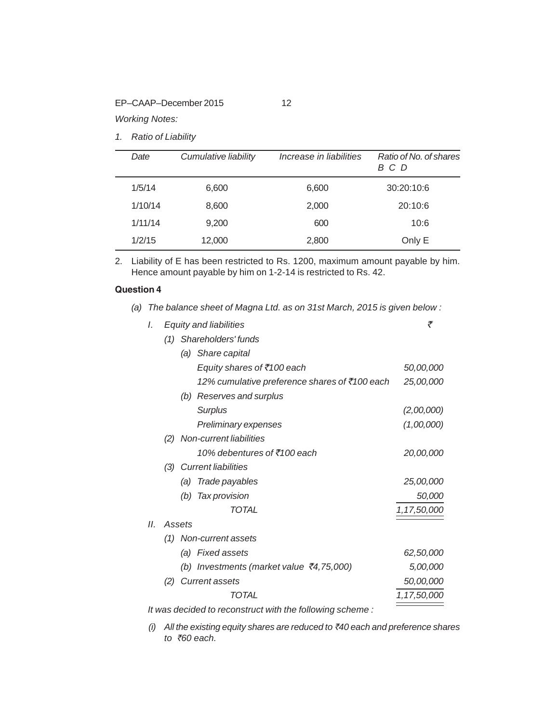EP–CAAP–December 2015 12

*Working Notes:*

*1. Ratio of Liability*

| Date    | Cumulative liability | Increase in liabilities | Ratio of No. of shares<br>B C D |
|---------|----------------------|-------------------------|---------------------------------|
| 1/5/14  | 6,600                | 6,600                   | 30:20:10:6                      |
| 1/10/14 | 8,600                | 2,000                   | 20:10:6                         |
| 1/11/14 | 9,200                | 600                     | 10:6                            |
| 1/2/15  | 12,000               | 2,800                   | Only E                          |

2. Liability of E has been restricted to Rs. 1200, maximum amount payable by him. Hence amount payable by him on 1-2-14 is restricted to Rs. 42.

*(a) The balance sheet of Magna Ltd. as on 31st March, 2015 is given below :*

# **Question 4**

| I. |     |        | Equity and liabilities                                   | ₹           |
|----|-----|--------|----------------------------------------------------------|-------------|
|    | (1) |        | Shareholders' funds                                      |             |
|    |     |        | (a) Share capital                                        |             |
|    |     |        | Equity shares of ₹100 each                               | 50,00,000   |
|    |     |        | 12% cumulative preference shares of ₹100 each            | 25,00,000   |
|    |     |        | (b) Reserves and surplus                                 |             |
|    |     |        | <b>Surplus</b>                                           | (2,00,000)  |
|    |     |        | Preliminary expenses                                     | (1,00,000)  |
|    | (2) |        | Non-current liabilities                                  |             |
|    |     |        | 10% debentures of ₹100 each                              | 20,00,000   |
|    |     |        | (3) Current liabilities                                  |             |
|    |     | (a)    | Trade payables                                           | 25,00,000   |
|    |     |        | (b) Tax provision                                        | 50,000      |
|    |     |        | TOTAL                                                    | 1,17,50,000 |
| Н. |     | Assets |                                                          |             |
|    |     |        | (1) Non-current assets                                   |             |
|    |     |        | (a) Fixed assets                                         | 62,50,000   |
|    |     |        | (b) Investments (market value $\bar{\tau}$ 4,75,000)     | 5,00,000    |
|    | (2) |        | <b>Current assets</b>                                    | 50,00,000   |
|    |     |        | TOTAL                                                    | 1,17,50,000 |
|    |     |        | It was decided to reconstruct with the following scheme: |             |

*(i) All the existing equity shares are reduced to* `*40 each and preference shares to* `*60 each.*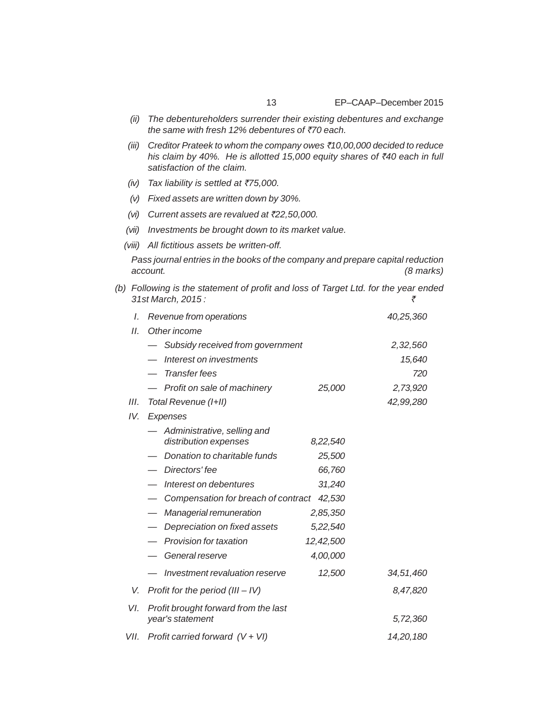13 EP–CAAP–December 2015

- *(ii) The debentureholders surrender their existing debentures and exchange the same with fresh 12% debentures of* `*70 each.*
- *(iii) Creditor Prateek to whom the company owes* `*10,00,000 decided to reduce his claim by 40%. He is allotted 15,000 equity shares of* `*40 each in full satisfaction of the claim.*
- *(iv) Tax liability is settled at* `*75,000.*
- *(v) Fixed assets are written down by 30%.*
- *(vi) Current assets are revalued at* `*22,50,000.*
- *(vii) Investments be brought down to its market value.*
- *(viii) All fictitious assets be written-off.*

*Pass journal entries in the books of the company and prepare capital reduction account. (8 marks)*

*(b) Following is the statement of profit and loss of Target Ltd. for the year ended 31st March, 2015 :* `

| I.   | Revenue from operations                                  |           | 40,25,360 |
|------|----------------------------------------------------------|-----------|-----------|
| 11.  | Other income                                             |           |           |
|      | Subsidy received from government                         |           | 2,32,560  |
|      | Interest on investments                                  |           | 15,640    |
|      | <b>Transfer fees</b>                                     |           | 720       |
|      | - Profit on sale of machinery                            | 25,000    | 2,73,920  |
| III. | Total Revenue (I+II)                                     |           | 42,99,280 |
| IV.  | Expenses                                                 |           |           |
|      | Administrative, selling and<br>distribution expenses     | 8,22,540  |           |
|      | Donation to charitable funds                             | 25,500    |           |
|      | Directors' fee                                           | 66,760    |           |
|      | Interest on debentures                                   | 31,240    |           |
|      | Compensation for breach of contract                      | 42,530    |           |
|      | Managerial remuneration                                  | 2,85,350  |           |
|      | Depreciation on fixed assets                             | 5,22,540  |           |
|      | Provision for taxation                                   | 12,42,500 |           |
|      | General reserve                                          | 4,00,000  |           |
|      | Investment revaluation reserve                           | 12,500    | 34,51,460 |
| V.   | Profit for the period $(III - IV)$                       |           | 8,47,820  |
| VI.  | Profit brought forward from the last<br>year's statement |           | 5,72,360  |
| VII. | Profit carried forward $(V + VI)$                        |           | 14.20.180 |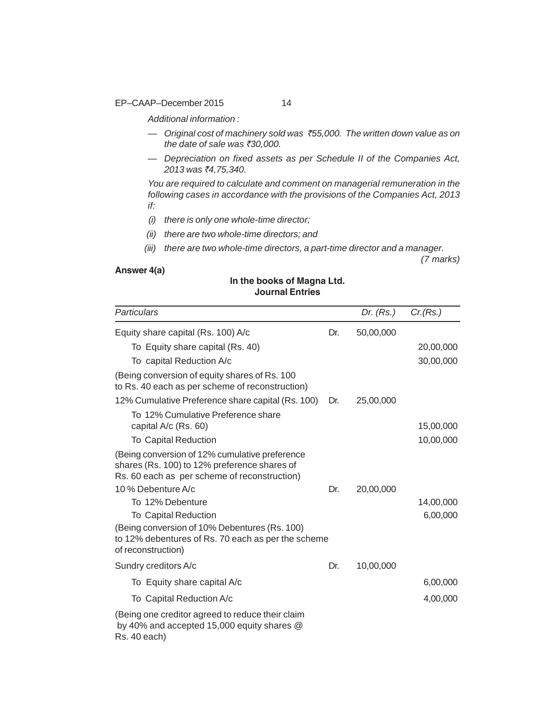EP–CAAP–December 2015 14

*Additional information :*

- *Original cost of machinery sold was* `*55,000. The written down value as on the date of sale was* `*30,000.*
- *Depreciation on fixed assets as per Schedule II of the Companies Act, 2013 was* `*4,75,340.*

*You are required to calculate and comment on managerial remuneration in the following cases in accordance with the provisions of the Companies Act, 2013 if:*

- *(i) there is only one whole-time director;*
- *(ii) there are two whole-time directors; and*
- *(iii) there are two whole-time directors, a part-time director and a manager.*

*(7 marks)*

# **Answer 4(a)**

# **In the books of Magna Ltd. Journal Entries**

| Particulars                                                                                                                                                          |     | Dr. $(Rs.)$ | Cr(Rs.)               |
|----------------------------------------------------------------------------------------------------------------------------------------------------------------------|-----|-------------|-----------------------|
| Equity share capital (Rs. 100) A/c                                                                                                                                   | Dr. | 50,00,000   |                       |
| To Equity share capital (Rs. 40)                                                                                                                                     |     |             | 20,00,000             |
| To capital Reduction A/c                                                                                                                                             |     |             | 30,00,000             |
| (Being conversion of equity shares of Rs. 100)<br>to Rs. 40 each as per scheme of reconstruction)                                                                    |     |             |                       |
| 12% Cumulative Preference share capital (Rs. 100)                                                                                                                    | Dr. | 25,00,000   |                       |
| To 12% Cumulative Preference share<br>capital A/c (Rs. 60)                                                                                                           |     |             | 15,00,000             |
| <b>To Capital Reduction</b>                                                                                                                                          |     |             | 10,00,000             |
| (Being conversion of 12% cumulative preference<br>shares (Rs. 100) to 12% preference shares of<br>Rs. 60 each as per scheme of reconstruction)<br>10 % Debenture A/c | Dr. | 20,00,000   |                       |
| To 12% Debenture<br><b>To Capital Reduction</b>                                                                                                                      |     |             | 14,00,000<br>6,00,000 |
| (Being conversion of 10% Debentures (Rs. 100)<br>to 12% debentures of Rs. 70 each as per the scheme<br>of reconstruction)                                            |     |             |                       |
| Sundry creditors A/c                                                                                                                                                 | Dr. | 10,00,000   |                       |
| To Equity share capital A/c                                                                                                                                          |     |             | 6,00,000              |
| To Capital Reduction A/c                                                                                                                                             |     |             | 4,00,000              |
| (Being one creditor agreed to reduce their claim<br>by 40% and accepted 15,000 equity shares @<br>Rs. 40 each)                                                       |     |             |                       |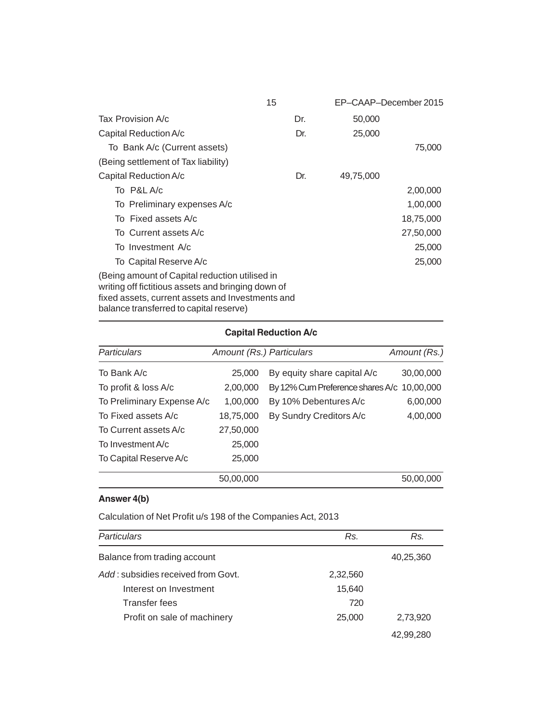|                                                                                                                                                                                                     | 15  | EP-CAAP-December 2015 |           |
|-----------------------------------------------------------------------------------------------------------------------------------------------------------------------------------------------------|-----|-----------------------|-----------|
| Tax Provision A/c                                                                                                                                                                                   | Dr. | 50,000                |           |
| Capital Reduction A/c                                                                                                                                                                               | Dr. | 25,000                |           |
| To Bank A/c (Current assets)                                                                                                                                                                        |     |                       | 75,000    |
| (Being settlement of Tax liability)                                                                                                                                                                 |     |                       |           |
| Capital Reduction A/c                                                                                                                                                                               | Dr. | 49,75,000             |           |
| To P&L A/c                                                                                                                                                                                          |     |                       | 2,00,000  |
| To Preliminary expenses A/c                                                                                                                                                                         |     |                       | 1,00,000  |
| To Fixed assets A/c                                                                                                                                                                                 |     |                       | 18,75,000 |
| To Current assets A/c                                                                                                                                                                               |     |                       | 27,50,000 |
| To Investment A/c                                                                                                                                                                                   |     |                       | 25,000    |
| To Capital Reserve A/c                                                                                                                                                                              |     |                       | 25,000    |
| (Being amount of Capital reduction utilised in<br>writing off fictitious assets and bringing down of<br>fixed assets, current assets and Investments and<br>balance transferred to capital reserve) |     |                       |           |

# **Capital Reduction A/c**

| <b>Particulars</b>         | Amount (Rs.) Particulars |                                            | Amount (Rs.) |
|----------------------------|--------------------------|--------------------------------------------|--------------|
| To Bank A/c                | 25,000                   | By equity share capital A/c                | 30,00,000    |
| To profit & loss A/c       | 2,00,000                 | By 12% Cum Preference shares A/c 10,00,000 |              |
| To Preliminary Expense A/c | 1,00,000                 | By 10% Debentures A/c                      | 6,00,000     |
| To Fixed assets A/c        | 18,75,000                | By Sundry Creditors A/c                    | 4,00,000     |
| To Current assets A/c      | 27,50,000                |                                            |              |
| To Investment A/c          | 25,000                   |                                            |              |
| To Capital Reserve A/c     | 25,000                   |                                            |              |
|                            | 50,00,000                |                                            | 50,00,000    |

# **Answer 4(b)**

Calculation of Net Profit u/s 198 of the Companies Act, 2013

| <b>Particulars</b>                 | Rs.      | Rs.       |
|------------------------------------|----------|-----------|
| Balance from trading account       |          | 40,25,360 |
| Add: subsidies received from Govt. | 2,32,560 |           |
| Interest on Investment             | 15,640   |           |
| <b>Transfer fees</b>               | 720      |           |
| Profit on sale of machinery        | 25,000   | 2,73,920  |
|                                    |          | 42,99,280 |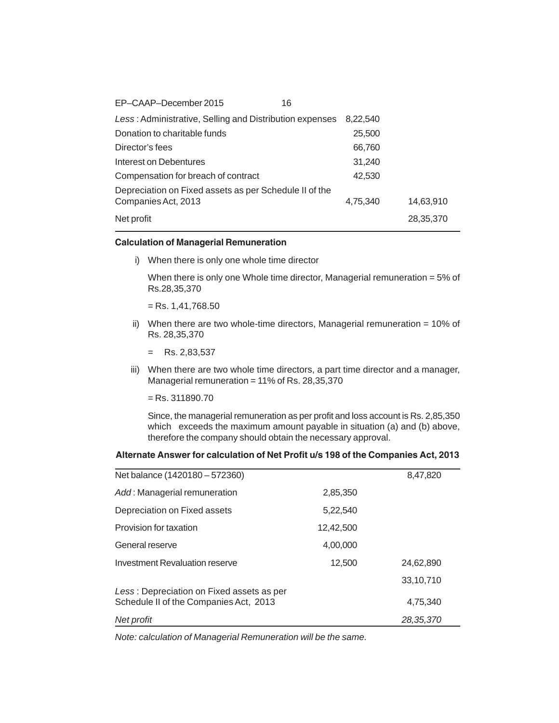| EP-CAAP-December 2015<br>16                             |          |           |
|---------------------------------------------------------|----------|-----------|
| Less: Administrative, Selling and Distribution expenses | 8,22,540 |           |
| Donation to charitable funds                            | 25,500   |           |
| Director's fees                                         | 66,760   |           |
| Interest on Debentures                                  | 31,240   |           |
| Compensation for breach of contract                     | 42,530   |           |
| Depreciation on Fixed assets as per Schedule II of the  |          |           |
| Companies Act, 2013                                     | 4,75,340 | 14,63,910 |
| Net profit                                              |          | 28,35,370 |
|                                                         |          |           |

#### **Calculation of Managerial Remuneration**

i) When there is only one whole time director

When there is only one Whole time director, Managerial remuneration = 5% of Rs.28,35,370

 $=$  Rs. 1,41,768.50

- ii) When there are two whole-time directors, Managerial remuneration = 10% of Rs. 28,35,370
	- = Rs. 2,83,537
- iii) When there are two whole time directors, a part time director and a manager, Managerial remuneration = 11% of Rs. 28,35,370

 $=$  Rs. 311890.70

Since, the managerial remuneration as per profit and loss account is Rs. 2,85,350 which exceeds the maximum amount payable in situation (a) and (b) above, therefore the company should obtain the necessary approval.

# **Alternate Answer for calculation of Net Profit u/s 198 of the Companies Act, 2013**

| Net balance (1420180 - 572360)            |           | 8,47,820  |
|-------------------------------------------|-----------|-----------|
| Add: Managerial remuneration              | 2,85,350  |           |
| Depreciation on Fixed assets              | 5,22,540  |           |
| Provision for taxation                    | 12,42,500 |           |
| General reserve                           | 4,00,000  |           |
| Investment Revaluation reserve            | 12,500    | 24,62,890 |
| Less: Depreciation on Fixed assets as per |           | 33,10,710 |
| Schedule II of the Companies Act, 2013    |           | 4,75,340  |
| Net profit                                |           | 28,35,370 |

*Note: calculation of Managerial Remuneration will be the same.*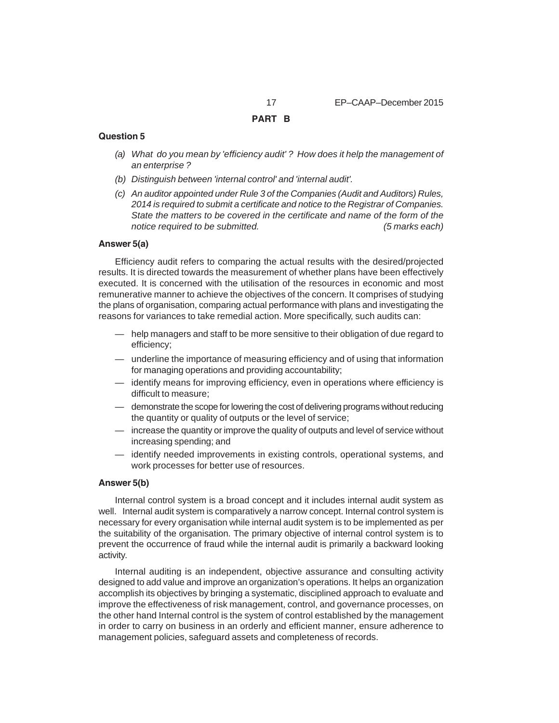#### **Question 5**

- *(a) What do you mean by 'efficiency audit' ? How does it help the management of an enterprise ?*
- *(b) Distinguish between 'internal control' and 'internal audit'.*
- *(c) An auditor appointed under Rule 3 of the Companies (Audit and Auditors) Rules, 2014 is required to submit a certificate and notice to the Registrar of Companies. State the matters to be covered in the certificate and name of the form of the notice required to be submitted. (5 marks each)*

#### **Answer 5(a)**

Efficiency audit refers to comparing the actual results with the desired/projected results. It is directed towards the measurement of whether plans have been effectively executed. It is concerned with the utilisation of the resources in economic and most remunerative manner to achieve the objectives of the concern. It comprises of studying the plans of organisation, comparing actual performance with plans and investigating the reasons for variances to take remedial action. More specifically, such audits can:

- help managers and staff to be more sensitive to their obligation of due regard to efficiency;
- underline the importance of measuring efficiency and of using that information for managing operations and providing accountability;
- identify means for improving efficiency, even in operations where efficiency is difficult to measure;
- demonstrate the scope for lowering the cost of delivering programs without reducing the quantity or quality of outputs or the level of service;
- increase the quantity or improve the quality of outputs and level of service without increasing spending; and
- identify needed improvements in existing controls, operational systems, and work processes for better use of resources.

#### **Answer 5(b)**

Internal control system is a broad concept and it includes internal audit system as well. Internal audit system is comparatively a narrow concept. Internal control system is necessary for every organisation while internal audit system is to be implemented as per the suitability of the organisation. The primary objective of internal control system is to prevent the occurrence of fraud while the internal audit is primarily a backward looking activity.

Internal auditing is an independent, objective assurance and consulting activity designed to add value and improve an organization's operations. It helps an organization accomplish its objectives by bringing a systematic, disciplined approach to evaluate and improve the effectiveness of risk management, control, and governance processes, on the other hand Internal control is the system of control established by the management in order to carry on business in an orderly and efficient manner, ensure adherence to management policies, safeguard assets and completeness of records.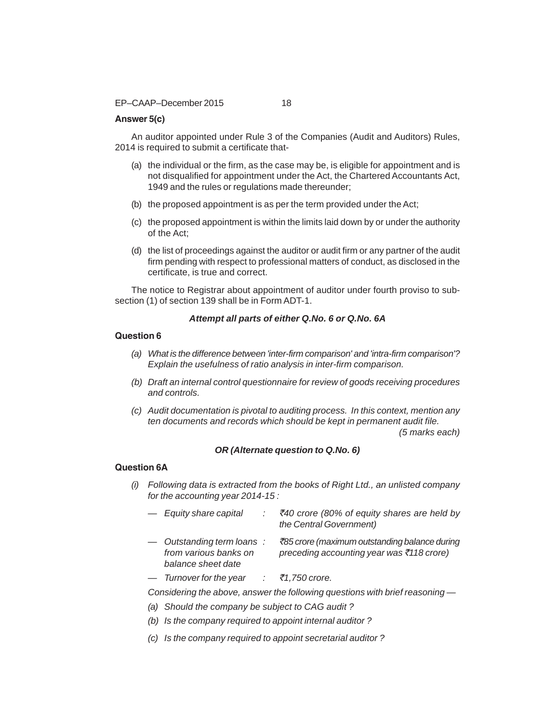# **Answer 5(c)**

An auditor appointed under Rule 3 of the Companies (Audit and Auditors) Rules, 2014 is required to submit a certificate that-

- (a) the individual or the firm, as the case may be, is eligible for appointment and is not disqualified for appointment under the Act, the Chartered Accountants Act, 1949 and the rules or regulations made thereunder;
- (b) the proposed appointment is as per the term provided under the Act;
- (c) the proposed appointment is within the limits laid down by or under the authority of the Act;
- (d) the list of proceedings against the auditor or audit firm or any partner of the audit firm pending with respect to professional matters of conduct, as disclosed in the certificate, is true and correct.

The notice to Registrar about appointment of auditor under fourth proviso to subsection (1) of section 139 shall be in Form ADT-1.

# *Attempt all parts of either Q.No. 6 or Q.No. 6A*

#### **Question 6**

- *(a) What is the difference between 'inter-firm comparison' and 'intra-firm comparison'? Explain the usefulness of ratio analysis in inter-firm comparison.*
- *(b) Draft an internal control questionnaire for review of goods receiving procedures and controls.*
- *(c) Audit documentation is pivotal to auditing process. In this context, mention any ten documents and records which should be kept in permanent audit file.*

*(5 marks each)*

#### *OR (Alternate question to Q.No. 6)*

# **Question 6A**

- *(i) Following data is extracted from the books of Right Ltd., an unlisted company for the accounting year 2014-15 :*
	- *Equity share capital :* `*40 crore (80% of equity shares are held by the Central Government)*
	- *Outstanding term loans :* `*85 crore (maximum outstanding balance during from various banks on preceding accounting year was* `*118 crore) balance sheet date*
	- *Turnover for the year :* `*1,750 crore.*

*Considering the above, answer the following questions with brief reasoning —*

- *(a) Should the company be subject to CAG audit ?*
- *(b) Is the company required to appoint internal auditor ?*
- *(c) Is the company required to appoint secretarial auditor ?*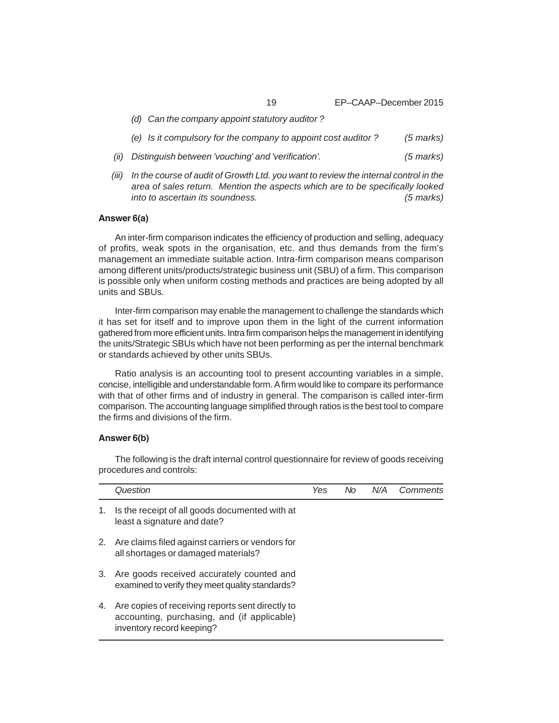19 EP–CAAP–December 2015

- *(d) Can the company appoint statutory auditor ? (e) Is it compulsory for the company to appoint cost auditor ? (5 marks) (ii) Distinguish between 'vouching' and 'verification'. (5 marks) (iii) In the course of audit of Growth Ltd. you want to review the internal control in the*
- *area of sales return. Mention the aspects which are to be specifically looked into to ascertain its soundness. (5 marks)*

## **Answer 6(a)**

An inter-firm comparison indicates the efficiency of production and selling, adequacy of profits, weak spots in the organisation, etc. and thus demands from the firm's management an immediate suitable action. Intra-firm comparison means comparison among different units/products/strategic business unit (SBU) of a firm. This comparison is possible only when uniform costing methods and practices are being adopted by all units and SBUs.

Inter-firm comparison may enable the management to challenge the standards which it has set for itself and to improve upon them in the light of the current information gathered from more efficient units. Intra firm comparison helps the management in identifying the units/Strategic SBUs which have not been performing as per the internal benchmark or standards achieved by other units SBUs.

Ratio analysis is an accounting tool to present accounting variables in a simple, concise, intelligible and understandable form. A firm would like to compare its performance with that of other firms and of industry in general. The comparison is called inter-firm comparison. The accounting language simplified through ratios is the best tool to compare the firms and divisions of the firm.

#### **Answer 6(b)**

The following is the draft internal control questionnaire for review of goods receiving procedures and controls:

|    | Question                                                                                                                     | Yes | No. | N/A | Comments |
|----|------------------------------------------------------------------------------------------------------------------------------|-----|-----|-----|----------|
|    | 1. Is the receipt of all goods documented with at<br>least a signature and date?                                             |     |     |     |          |
|    | 2. Are claims filed against carriers or vendors for<br>all shortages or damaged materials?                                   |     |     |     |          |
| 3. | Are goods received accurately counted and<br>examined to verify they meet quality standards?                                 |     |     |     |          |
| 4. | Are copies of receiving reports sent directly to<br>accounting, purchasing, and (if applicable)<br>inventory record keeping? |     |     |     |          |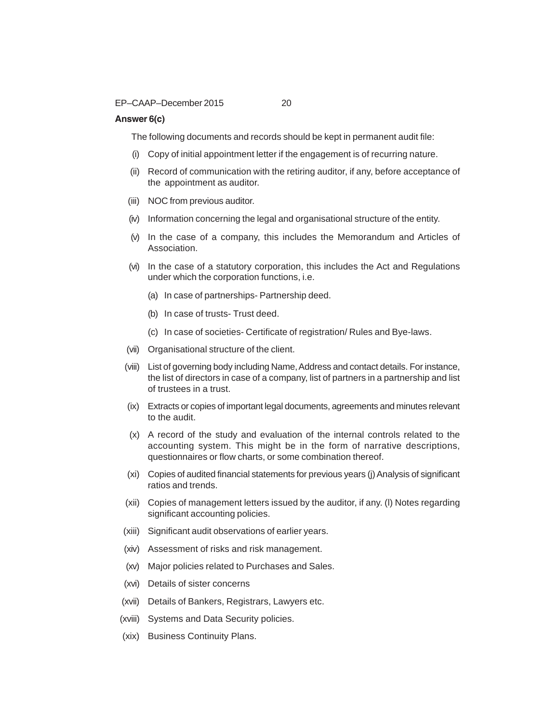# **Answer 6(c)**

The following documents and records should be kept in permanent audit file:

- (i) Copy of initial appointment letter if the engagement is of recurring nature.
- (ii) Record of communication with the retiring auditor, if any, before acceptance of the appointment as auditor.
- (iii) NOC from previous auditor.
- (iv) Information concerning the legal and organisational structure of the entity.
- (v) In the case of a company, this includes the Memorandum and Articles of Association.
- (vi) In the case of a statutory corporation, this includes the Act and Regulations under which the corporation functions, i.e.
	- (a) In case of partnerships- Partnership deed.
	- (b) In case of trusts- Trust deed.
	- (c) In case of societies- Certificate of registration/ Rules and Bye-laws.
- (vii) Organisational structure of the client.
- (viii) List of governing body including Name, Address and contact details. For instance, the list of directors in case of a company, list of partners in a partnership and list of trustees in a trust.
- (ix) Extracts or copies of important legal documents, agreements and minutes relevant to the audit.
- (x) A record of the study and evaluation of the internal controls related to the accounting system. This might be in the form of narrative descriptions, questionnaires or flow charts, or some combination thereof.
- (xi) Copies of audited financial statements for previous years (j) Analysis of significant ratios and trends.
- (xii) Copies of management letters issued by the auditor, if any. (l) Notes regarding significant accounting policies.
- (xiii) Significant audit observations of earlier years.
- (xiv) Assessment of risks and risk management.
- (xv) Major policies related to Purchases and Sales.
- (xvi) Details of sister concerns
- (xvii) Details of Bankers, Registrars, Lawyers etc.
- (xviii) Systems and Data Security policies.
- (xix) Business Continuity Plans.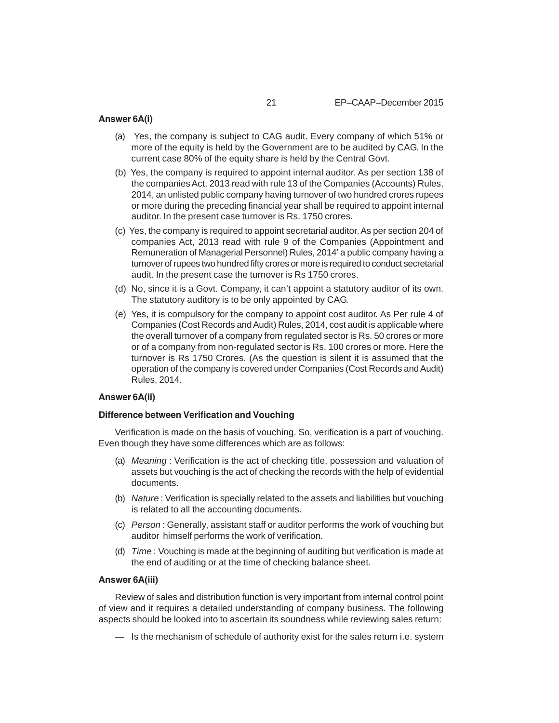# **Answer 6A(i)**

- (a) Yes, the company is subject to CAG audit. Every company of which 51% or more of the equity is held by the Government are to be audited by CAG. In the current case 80% of the equity share is held by the Central Govt.
- (b) Yes, the company is required to appoint internal auditor. As per section 138 of the companies Act, 2013 read with rule 13 of the Companies (Accounts) Rules, 2014, an unlisted public company having turnover of two hundred crores rupees or more during the preceding financial year shall be required to appoint internal auditor. In the present case turnover is Rs. 1750 crores.
- (c) Yes, the company is required to appoint secretarial auditor. As per section 204 of companies Act, 2013 read with rule 9 of the Companies (Appointment and Remuneration of Managerial Personnel) Rules, 2014' a public company having a turnover of rupees two hundred fifty crores or more is required to conduct secretarial audit. In the present case the turnover is Rs 1750 crores.
- (d) No, since it is a Govt. Company, it can't appoint a statutory auditor of its own. The statutory auditory is to be only appointed by CAG.
- (e) Yes, it is compulsory for the company to appoint cost auditor. As Per rule 4 of Companies (Cost Records and Audit) Rules, 2014, cost audit is applicable where the overall turnover of a company from regulated sector is Rs. 50 crores or more or of a company from non-regulated sector is Rs. 100 crores or more. Here the turnover is Rs 1750 Crores. (As the question is silent it is assumed that the operation of the company is covered under Companies (Cost Records and Audit) Rules, 2014.

#### **Answer 6A(ii)**

#### **Difference between Verification and Vouching**

Verification is made on the basis of vouching. So, verification is a part of vouching. Even though they have some differences which are as follows:

- (a) *Meaning* : Verification is the act of checking title, possession and valuation of assets but vouching is the act of checking the records with the help of evidential documents.
- (b) *Nature* : Verification is specially related to the assets and liabilities but vouching is related to all the accounting documents.
- (c) *Person* : Generally, assistant staff or auditor performs the work of vouching but auditor himself performs the work of verification.
- (d) *Time* : Vouching is made at the beginning of auditing but verification is made at the end of auditing or at the time of checking balance sheet.

#### **Answer 6A(iii)**

Review of sales and distribution function is very important from internal control point of view and it requires a detailed understanding of company business. The following aspects should be looked into to ascertain its soundness while reviewing sales return:

— Is the mechanism of schedule of authority exist for the sales return i.e. system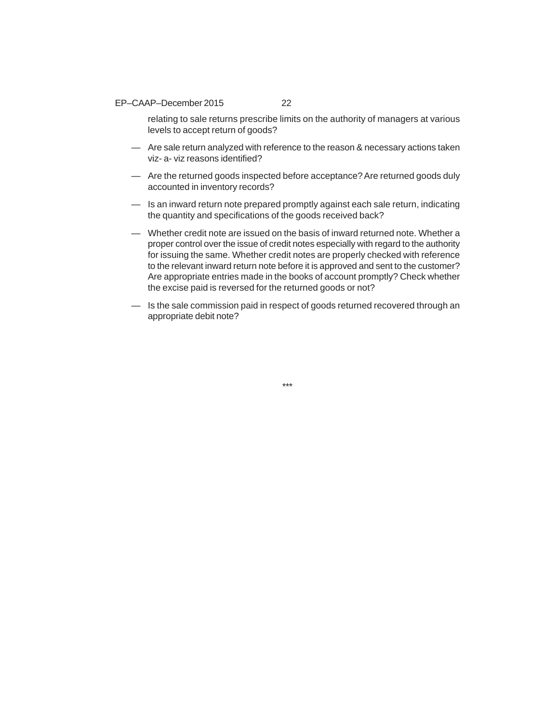#### EP–CAAP–December 2015 22

relating to sale returns prescribe limits on the authority of managers at various levels to accept return of goods?

- Are sale return analyzed with reference to the reason & necessary actions taken viz- a- viz reasons identified?
- Are the returned goods inspected before acceptance? Are returned goods duly accounted in inventory records?
- Is an inward return note prepared promptly against each sale return, indicating the quantity and specifications of the goods received back?
- Whether credit note are issued on the basis of inward returned note. Whether a proper control over the issue of credit notes especially with regard to the authority for issuing the same. Whether credit notes are properly checked with reference to the relevant inward return note before it is approved and sent to the customer? Are appropriate entries made in the books of account promptly? Check whether the excise paid is reversed for the returned goods or not?
- Is the sale commission paid in respect of goods returned recovered through an appropriate debit note?

\*\*\*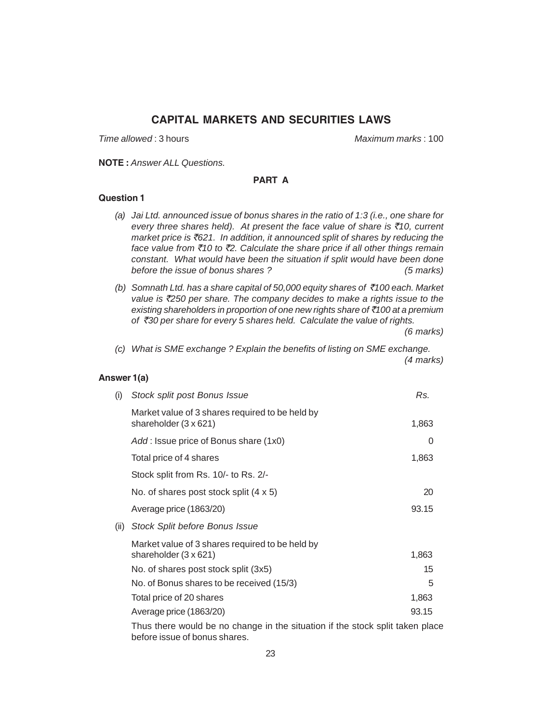# **CAPITAL MARKETS AND SECURITIES LAWS**

*Time allowed* : 3 hours *Maximum marks* : 100

**NOTE :** *Answer ALL Questions.*

# **PART A**

# **Question 1**

- *(a) Jai Ltd. announced issue of bonus shares in the ratio of 1:3 (i.e., one share for every three shares held). At present the face value of share is* `*10, current market price is* `*621. In addition, it announced split of shares by reducing the face value from* `*10 to* `*2. Calculate the share price if all other things remain constant. What would have been the situation if split would have been done before the issue of bonus shares ? (5 marks)*
- *(b) Somnath Ltd. has a share capital of 50,000 equity shares of* `*100 each. Market value is* `*250 per share. The company decides to make a rights issue to the existing shareholders in proportion of one new rights share of* `*100 at a premium of* `*30 per share for every 5 shares held. Calculate the value of rights.*

*(6 marks)*

*(c) What is SME exchange ? Explain the benefits of listing on SME exchange. (4 marks)*

# **Answer 1(a)**

| (i)  | Stock split post Bonus Issue                                                                         | Rs.   |  |  |
|------|------------------------------------------------------------------------------------------------------|-------|--|--|
|      | Market value of 3 shares required to be held by<br>shareholder $(3 \times 621)$                      | 1,863 |  |  |
|      | Add: Issue price of Bonus share (1x0)                                                                | 0     |  |  |
|      | Total price of 4 shares                                                                              | 1,863 |  |  |
|      | Stock split from Rs. 10/- to Rs. 2/-                                                                 |       |  |  |
|      | No. of shares post stock split $(4 \times 5)$                                                        | 20    |  |  |
|      | Average price (1863/20)                                                                              | 93.15 |  |  |
| (ii) | <b>Stock Split before Bonus Issue</b>                                                                |       |  |  |
|      | Market value of 3 shares required to be held by<br>shareholder (3 x 621)                             | 1,863 |  |  |
|      | No. of shares post stock split (3x5)                                                                 | 15    |  |  |
|      | No. of Bonus shares to be received (15/3)                                                            | 5     |  |  |
|      | Total price of 20 shares                                                                             | 1,863 |  |  |
|      | Average price (1863/20)                                                                              | 93.15 |  |  |
|      | بمام ومرامه فالمم راممهم مطه فل ورمانيون بهارم مطه وبأر معمومات مرورم الماريون برومطه وزروا Tlanne و |       |  |  |

Thus there would be no change in the situation if the stock split taken place before issue of bonus shares.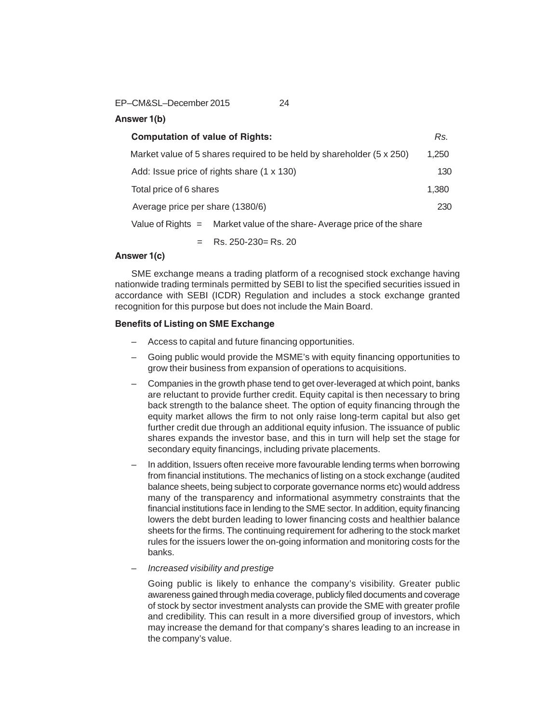EP–CM&SL–December 2015 24

**Answer 1(b)**

| <b>Computation of value of Rights:</b>                                       | Rs.   |
|------------------------------------------------------------------------------|-------|
| Market value of 5 shares required to be held by shareholder $(5 \times 250)$ | 1.250 |
| Add: Issue price of rights share (1 x 130)                                   | 130   |
| Total price of 6 shares                                                      | 1,380 |
| Average price per share (1380/6)                                             | 230   |
| Value of Rights $=$ Market value of the share-Average price of the share     |       |

 $=$  Rs. 250-230  $=$  Rs. 20

# **Answer 1(c)**

SME exchange means a trading platform of a recognised stock exchange having nationwide trading terminals permitted by SEBI to list the specified securities issued in accordance with SEBI (ICDR) Regulation and includes a stock exchange granted recognition for this purpose but does not include the Main Board.

# **Benefits of Listing on SME Exchange**

- Access to capital and future financing opportunities.
- Going public would provide the MSME's with equity financing opportunities to grow their business from expansion of operations to acquisitions.
- Companies in the growth phase tend to get over-leveraged at which point, banks are reluctant to provide further credit. Equity capital is then necessary to bring back strength to the balance sheet. The option of equity financing through the equity market allows the firm to not only raise long-term capital but also get further credit due through an additional equity infusion. The issuance of public shares expands the investor base, and this in turn will help set the stage for secondary equity financings, including private placements.
- In addition, Issuers often receive more favourable lending terms when borrowing from financial institutions. The mechanics of listing on a stock exchange (audited balance sheets, being subject to corporate governance norms etc) would address many of the transparency and informational asymmetry constraints that the financial institutions face in lending to the SME sector. In addition, equity financing lowers the debt burden leading to lower financing costs and healthier balance sheets for the firms. The continuing requirement for adhering to the stock market rules for the issuers lower the on-going information and monitoring costs for the banks.
- *Increased visibility and prestige*

Going public is likely to enhance the company's visibility. Greater public awareness gained through media coverage, publicly filed documents and coverage of stock by sector investment analysts can provide the SME with greater profile and credibility. This can result in a more diversified group of investors, which may increase the demand for that company's shares leading to an increase in the company's value.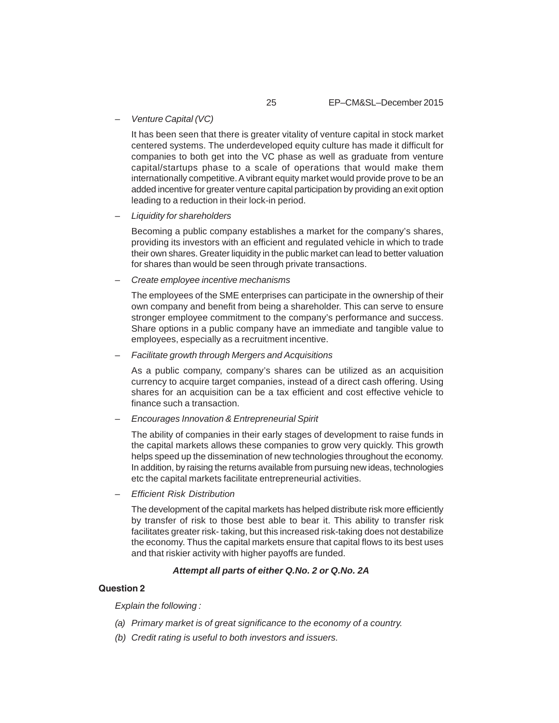– *Venture Capital (VC)*

It has been seen that there is greater vitality of venture capital in stock market centered systems. The underdeveloped equity culture has made it difficult for companies to both get into the VC phase as well as graduate from venture capital/startups phase to a scale of operations that would make them internationally competitive. A vibrant equity market would provide prove to be an added incentive for greater venture capital participation by providing an exit option leading to a reduction in their lock-in period.

– *Liquidity for shareholders*

Becoming a public company establishes a market for the company's shares, providing its investors with an efficient and regulated vehicle in which to trade their own shares. Greater liquidity in the public market can lead to better valuation for shares than would be seen through private transactions.

– *Create employee incentive mechanisms*

The employees of the SME enterprises can participate in the ownership of their own company and benefit from being a shareholder. This can serve to ensure stronger employee commitment to the company's performance and success. Share options in a public company have an immediate and tangible value to employees, especially as a recruitment incentive.

– *Facilitate growth through Mergers and Acquisitions*

As a public company, company's shares can be utilized as an acquisition currency to acquire target companies, instead of a direct cash offering. Using shares for an acquisition can be a tax efficient and cost effective vehicle to finance such a transaction.

– *Encourages Innovation & Entrepreneurial Spirit*

The ability of companies in their early stages of development to raise funds in the capital markets allows these companies to grow very quickly. This growth helps speed up the dissemination of new technologies throughout the economy. In addition, by raising the returns available from pursuing new ideas, technologies etc the capital markets facilitate entrepreneurial activities.

– *Efficient Risk Distribution*

The development of the capital markets has helped distribute risk more efficiently by transfer of risk to those best able to bear it. This ability to transfer risk facilitates greater risk- taking, but this increased risk-taking does not destabilize the economy. Thus the capital markets ensure that capital flows to its best uses and that riskier activity with higher payoffs are funded.

#### *Attempt all parts of either Q.No. 2 or Q.No. 2A*

#### **Question 2**

*Explain the following :*

- *(a) Primary market is of great significance to the economy of a country.*
- *(b) Credit rating is useful to both investors and issuers.*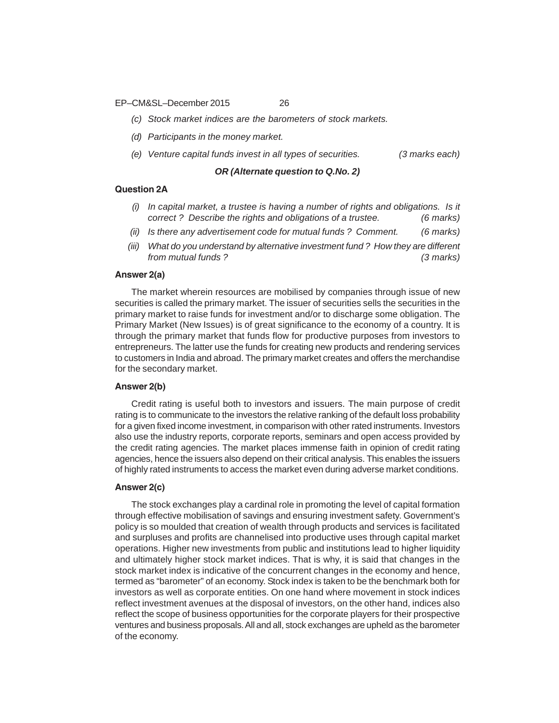EP–CM&SL–December 2015 26

*(c) Stock market indices are the barometers of stock markets.*

*(d) Participants in the money market.*

*(e) Venture capital funds invest in all types of securities. (3 marks each)*

# *OR (Alternate question to Q.No. 2)*

#### **Question 2A**

- *(i) In capital market, a trustee is having a number of rights and obligations. Is it correct ? Describe the rights and obligations of a trustee. (6 marks)*
- *(ii) Is there any advertisement code for mutual funds ? Comment. (6 marks)*
- *(iii) What do you understand by alternative investment fund ? How they are different from mutual funds ? (3 marks)*

#### **Answer 2(a)**

The market wherein resources are mobilised by companies through issue of new securities is called the primary market. The issuer of securities sells the securities in the primary market to raise funds for investment and/or to discharge some obligation. The Primary Market (New Issues) is of great significance to the economy of a country. It is through the primary market that funds flow for productive purposes from investors to entrepreneurs. The latter use the funds for creating new products and rendering services to customers in India and abroad. The primary market creates and offers the merchandise for the secondary market.

# **Answer 2(b)**

Credit rating is useful both to investors and issuers. The main purpose of credit rating is to communicate to the investors the relative ranking of the default loss probability for a given fixed income investment, in comparison with other rated instruments. Investors also use the industry reports, corporate reports, seminars and open access provided by the credit rating agencies. The market places immense faith in opinion of credit rating agencies, hence the issuers also depend on their critical analysis. This enables the issuers of highly rated instruments to access the market even during adverse market conditions.

#### **Answer 2(c)**

The stock exchanges play a cardinal role in promoting the level of capital formation through effective mobilisation of savings and ensuring investment safety. Government's policy is so moulded that creation of wealth through products and services is facilitated and surpluses and profits are channelised into productive uses through capital market operations. Higher new investments from public and institutions lead to higher liquidity and ultimately higher stock market indices. That is why, it is said that changes in the stock market index is indicative of the concurrent changes in the economy and hence, termed as "barometer" of an economy. Stock index is taken to be the benchmark both for investors as well as corporate entities. On one hand where movement in stock indices reflect investment avenues at the disposal of investors, on the other hand, indices also reflect the scope of business opportunities for the corporate players for their prospective ventures and business proposals. All and all, stock exchanges are upheld as the barometer of the economy.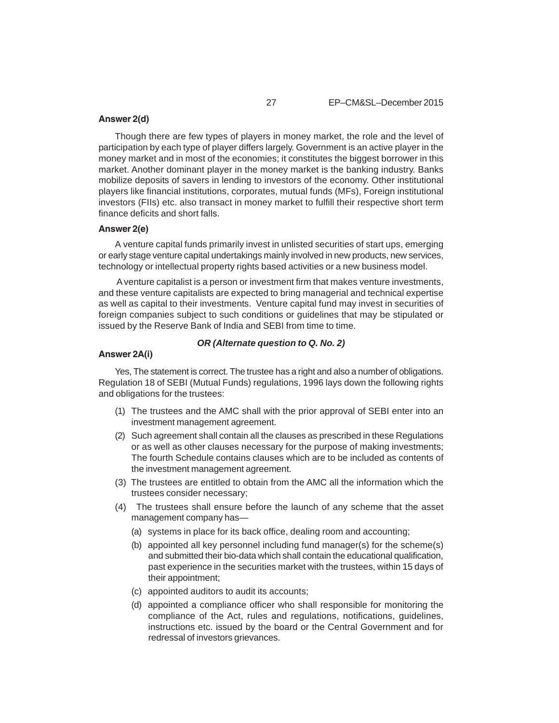#### **Answer 2(d)**

Though there are few types of players in money market, the role and the level of participation by each type of player differs largely. Government is an active player in the money market and in most of the economies; it constitutes the biggest borrower in this market. Another dominant player in the money market is the banking industry. Banks mobilize deposits of savers in lending to investors of the economy. Other institutional players like financial institutions, corporates, mutual funds (MFs), Foreign institutional investors (FIIs) etc. also transact in money market to fulfill their respective short term finance deficits and short falls.

#### **Answer 2(e)**

A venture capital funds primarily invest in unlisted securities of start ups, emerging or early stage venture capital undertakings mainly involved in new products, new services, technology or intellectual property rights based activities or a new business model.

 A venture capitalist is a person or investment firm that makes venture investments, and these venture capitalists are expected to bring managerial and technical expertise as well as capital to their investments. Venture capital fund may invest in securities of foreign companies subject to such conditions or guidelines that may be stipulated or issued by the Reserve Bank of India and SEBI from time to time.

# *OR (Alternate question to Q. No. 2)*

#### **Answer 2A(i)**

Yes, The statement is correct. The trustee has a right and also a number of obligations. Regulation 18 of SEBI (Mutual Funds) regulations, 1996 lays down the following rights and obligations for the trustees:

- (1) The trustees and the AMC shall with the prior approval of SEBI enter into an investment management agreement.
- (2) Such agreement shall contain all the clauses as prescribed in these Regulations or as well as other clauses necessary for the purpose of making investments; The fourth Schedule contains clauses which are to be included as contents of the investment management agreement.
- (3) The trustees are entitled to obtain from the AMC all the information which the trustees consider necessary;
- (4) The trustees shall ensure before the launch of any scheme that the asset management company has—
	- (a) systems in place for its back office, dealing room and accounting;
	- (b) appointed all key personnel including fund manager(s) for the scheme(s) and submitted their bio-data which shall contain the educational qualification, past experience in the securities market with the trustees, within 15 days of their appointment;
	- (c) appointed auditors to audit its accounts;
	- (d) appointed a compliance officer who shall responsible for monitoring the compliance of the Act, rules and regulations, notifications, guidelines, instructions etc. issued by the board or the Central Government and for redressal of investors grievances.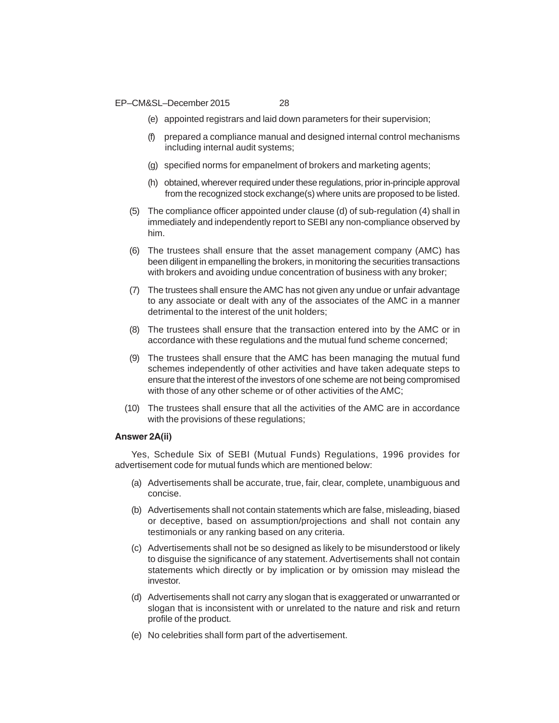EP–CM&SL–December 2015 28

- (e) appointed registrars and laid down parameters for their supervision;
- (f) prepared a compliance manual and designed internal control mechanisms including internal audit systems;
- (g) specified norms for empanelment of brokers and marketing agents;
- (h) obtained, wherever required under these regulations, prior in-principle approval from the recognized stock exchange(s) where units are proposed to be listed.
- (5) The compliance officer appointed under clause (d) of sub-regulation (4) shall in immediately and independently report to SEBI any non-compliance observed by him.
- (6) The trustees shall ensure that the asset management company (AMC) has been diligent in empanelling the brokers, in monitoring the securities transactions with brokers and avoiding undue concentration of business with any broker;
- (7) The trustees shall ensure the AMC has not given any undue or unfair advantage to any associate or dealt with any of the associates of the AMC in a manner detrimental to the interest of the unit holders;
- (8) The trustees shall ensure that the transaction entered into by the AMC or in accordance with these regulations and the mutual fund scheme concerned;
- (9) The trustees shall ensure that the AMC has been managing the mutual fund schemes independently of other activities and have taken adequate steps to ensure that the interest of the investors of one scheme are not being compromised with those of any other scheme or of other activities of the AMC;
- (10) The trustees shall ensure that all the activities of the AMC are in accordance with the provisions of these regulations;

# **Answer 2A(ii)**

Yes, Schedule Six of SEBI (Mutual Funds) Regulations, 1996 provides for advertisement code for mutual funds which are mentioned below:

- (a) Advertisements shall be accurate, true, fair, clear, complete, unambiguous and concise.
- (b) Advertisements shall not contain statements which are false, misleading, biased or deceptive, based on assumption/projections and shall not contain any testimonials or any ranking based on any criteria.
- (c) Advertisements shall not be so designed as likely to be misunderstood or likely to disguise the significance of any statement. Advertisements shall not contain statements which directly or by implication or by omission may mislead the investor.
- (d) Advertisements shall not carry any slogan that is exaggerated or unwarranted or slogan that is inconsistent with or unrelated to the nature and risk and return profile of the product.
- (e) No celebrities shall form part of the advertisement.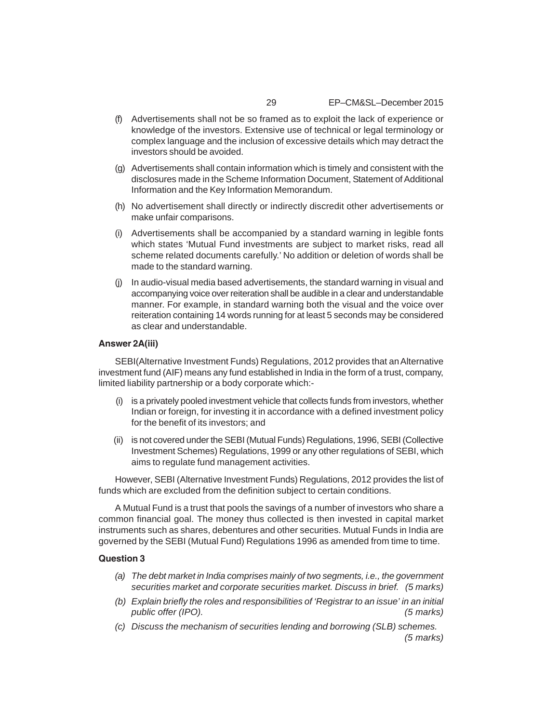- (f) Advertisements shall not be so framed as to exploit the lack of experience or knowledge of the investors. Extensive use of technical or legal terminology or complex language and the inclusion of excessive details which may detract the investors should be avoided.
- (g) Advertisements shall contain information which is timely and consistent with the disclosures made in the Scheme Information Document, Statement of Additional Information and the Key Information Memorandum.
- (h) No advertisement shall directly or indirectly discredit other advertisements or make unfair comparisons.
- (i) Advertisements shall be accompanied by a standard warning in legible fonts which states 'Mutual Fund investments are subject to market risks, read all scheme related documents carefully.' No addition or deletion of words shall be made to the standard warning.
- (j) In audio-visual media based advertisements, the standard warning in visual and accompanying voice over reiteration shall be audible in a clear and understandable manner. For example, in standard warning both the visual and the voice over reiteration containing 14 words running for at least 5 seconds may be considered as clear and understandable.

# **Answer 2A(iii)**

SEBI(Alternative Investment Funds) Regulations, 2012 provides that an Alternative investment fund (AIF) means any fund established in India in the form of a trust, company, limited liability partnership or a body corporate which:-

- (i) is a privately pooled investment vehicle that collects funds from investors, whether Indian or foreign, for investing it in accordance with a defined investment policy for the benefit of its investors; and
- (ii) is not covered under the SEBI (Mutual Funds) Regulations, 1996, SEBI (Collective Investment Schemes) Regulations, 1999 or any other regulations of SEBI, which aims to regulate fund management activities.

However, SEBI (Alternative Investment Funds) Regulations, 2012 provides the list of funds which are excluded from the definition subject to certain conditions.

A Mutual Fund is a trust that pools the savings of a number of investors who share a common financial goal. The money thus collected is then invested in capital market instruments such as shares, debentures and other securities. Mutual Funds in India are governed by the SEBI (Mutual Fund) Regulations 1996 as amended from time to time.

#### **Question 3**

- *(a) The debt market in India comprises mainly of two segments, i.e., the government securities market and corporate securities market. Discuss in brief. (5 marks)*
- *(b) Explain briefly the roles and responsibilities of 'Registrar to an issue' in an initial public offer (IPO). (5 marks)*
- *(c) Discuss the mechanism of securities lending and borrowing (SLB) schemes. (5 marks)*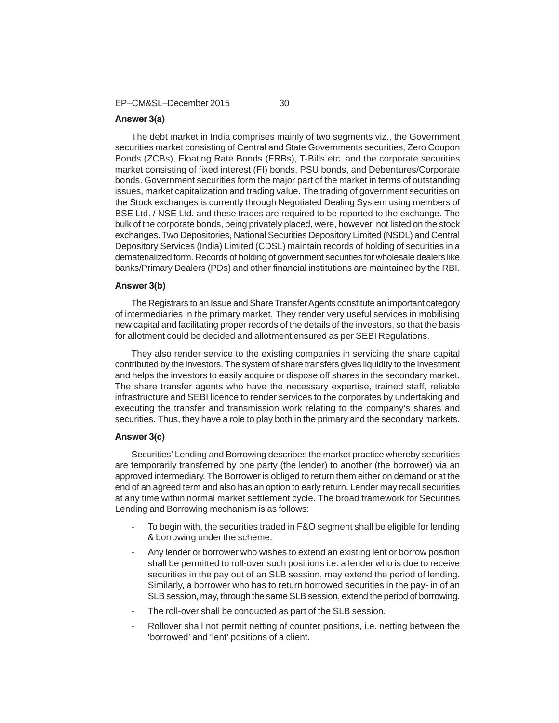EP–CM&SL–December 2015 30

# **Answer 3(a)**

The debt market in India comprises mainly of two segments viz., the Government securities market consisting of Central and State Governments securities, Zero Coupon Bonds (ZCBs), Floating Rate Bonds (FRBs), T-Bills etc. and the corporate securities market consisting of fixed interest (FI) bonds, PSU bonds, and Debentures/Corporate bonds. Government securities form the major part of the market in terms of outstanding issues, market capitalization and trading value. The trading of government securities on the Stock exchanges is currently through Negotiated Dealing System using members of BSE Ltd. / NSE Ltd. and these trades are required to be reported to the exchange. The bulk of the corporate bonds, being privately placed, were, however, not listed on the stock exchanges. Two Depositories, National Securities Depository Limited (NSDL) and Central Depository Services (India) Limited (CDSL) maintain records of holding of securities in a dematerialized form. Records of holding of government securities for wholesale dealers like banks/Primary Dealers (PDs) and other financial institutions are maintained by the RBI.

# **Answer 3(b)**

The Registrars to an Issue and Share Transfer Agents constitute an important category of intermediaries in the primary market. They render very useful services in mobilising new capital and facilitating proper records of the details of the investors, so that the basis for allotment could be decided and allotment ensured as per SEBI Regulations.

They also render service to the existing companies in servicing the share capital contributed by the investors. The system of share transfers gives liquidity to the investment and helps the investors to easily acquire or dispose off shares in the secondary market. The share transfer agents who have the necessary expertise, trained staff, reliable infrastructure and SEBI licence to render services to the corporates by undertaking and executing the transfer and transmission work relating to the company's shares and securities. Thus, they have a role to play both in the primary and the secondary markets.

#### **Answer 3(c)**

Securities' Lending and Borrowing describes the market practice whereby securities are temporarily transferred by one party (the lender) to another (the borrower) via an approved intermediary. The Borrower is obliged to return them either on demand or at the end of an agreed term and also has an option to early return. Lender may recall securities at any time within normal market settlement cycle. The broad framework for Securities Lending and Borrowing mechanism is as follows:

- To begin with, the securities traded in F&O segment shall be eligible for lending & borrowing under the scheme.
- Any lender or borrower who wishes to extend an existing lent or borrow position shall be permitted to roll-over such positions i.e. a lender who is due to receive securities in the pay out of an SLB session, may extend the period of lending. Similarly, a borrower who has to return borrowed securities in the pay- in of an SLB session, may, through the same SLB session, extend the period of borrowing.
- The roll-over shall be conducted as part of the SLB session.
- Rollover shall not permit netting of counter positions, i.e. netting between the 'borrowed' and 'lent' positions of a client.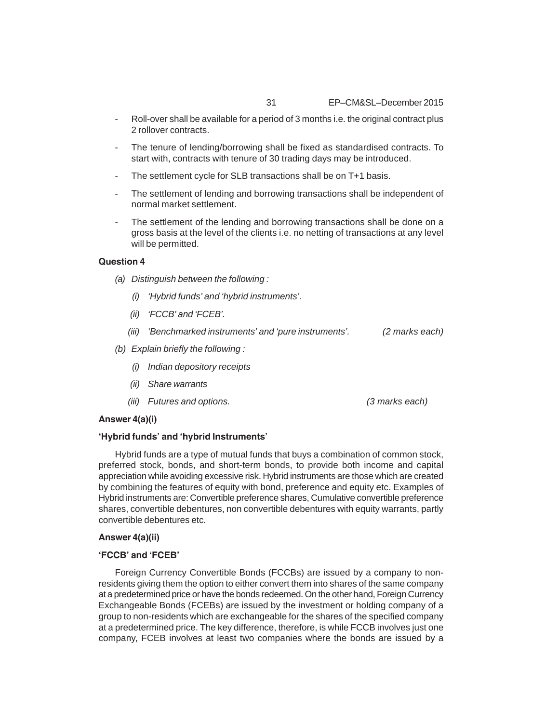- Roll-over shall be available for a period of 3 months i.e. the original contract plus 2 rollover contracts.
- The tenure of lending/borrowing shall be fixed as standardised contracts. To start with, contracts with tenure of 30 trading days may be introduced.
- The settlement cycle for SLB transactions shall be on T+1 basis.
- The settlement of lending and borrowing transactions shall be independent of normal market settlement.
- The settlement of the lending and borrowing transactions shall be done on a gross basis at the level of the clients i.e. no netting of transactions at any level will be permitted.

# **Question 4**

- *(a) Distinguish between the following :*
	- *(i) 'Hybrid funds' and 'hybrid instruments'.*
	- *(ii) 'FCCB' and 'FCEB'.*
	- *(iii) 'Benchmarked instruments' and 'pure instruments'. (2 marks each)*
- *(b) Explain briefly the following :*
	- *(i) Indian depository receipts*
	- *(ii) Share warrants*
	- *(iii) Futures and options. (3 marks each)*

#### **Answer 4(a)(i)**

#### **'Hybrid funds' and 'hybrid Instruments'**

Hybrid funds are a type of mutual funds that buys a combination of common stock, preferred stock, bonds, and short-term bonds, to provide both income and capital appreciation while avoiding excessive risk. Hybrid instruments are those which are created by combining the features of equity with bond, preference and equity etc. Examples of Hybrid instruments are: Convertible preference shares, Cumulative convertible preference shares, convertible debentures, non convertible debentures with equity warrants, partly convertible debentures etc.

#### **Answer 4(a)(ii)**

#### **'FCCB' and 'FCEB'**

Foreign Currency Convertible Bonds (FCCBs) are issued by a company to nonresidents giving them the option to either convert them into shares of the same company at a predetermined price or have the bonds redeemed. On the other hand, Foreign Currency Exchangeable Bonds (FCEBs) are issued by the investment or holding company of a group to non-residents which are exchangeable for the shares of the specified company at a predetermined price. The key difference, therefore, is while FCCB involves just one company, FCEB involves at least two companies where the bonds are issued by a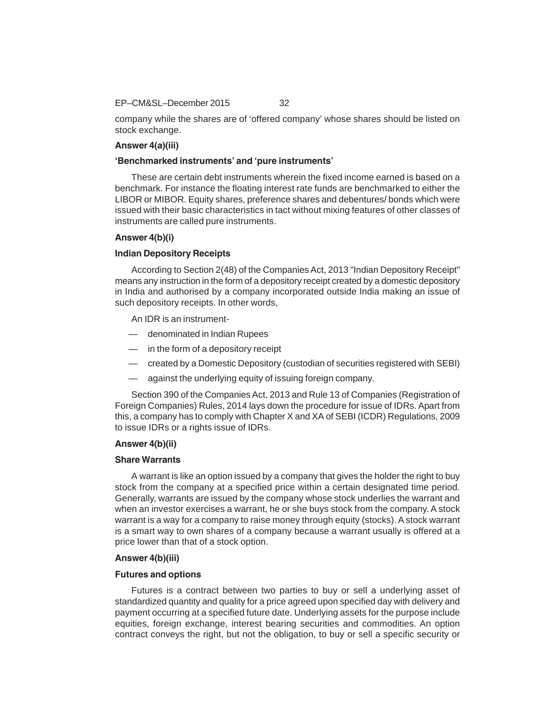#### EP–CM&SL–December 2015 32

company while the shares are of 'offered company' whose shares should be listed on stock exchange.

# **Answer 4(a)(iii)**

# **'Benchmarked instruments' and 'pure instruments'**

These are certain debt instruments wherein the fixed income earned is based on a benchmark. For instance the floating interest rate funds are benchmarked to either the LIBOR or MIBOR. Equity shares, preference shares and debentures/ bonds which were issued with their basic characteristics in tact without mixing features of other classes of instruments are called pure instruments.

# **Answer 4(b)(i)**

# **Indian Depository Receipts**

According to Section 2(48) of the Companies Act, 2013 "Indian Depository Receipt" means any instruction in the form of a depository receipt created by a domestic depository in India and authorised by a company incorporated outside India making an issue of such depository receipts. In other words,

An IDR is an instrument-

- denominated in Indian Rupees
- in the form of a depository receipt
- created by a Domestic Depository (custodian of securities registered with SEBI)
- against the underlying equity of issuing foreign company.

Section 390 of the Companies Act, 2013 and Rule 13 of Companies (Registration of Foreign Companies) Rules, 2014 lays down the procedure for issue of IDRs. Apart from this, a company has to comply with Chapter X and XA of SEBI (ICDR) Regulations, 2009 to issue IDRs or a rights issue of IDRs.

### **Answer 4(b)(ii)**

#### **Share Warrants**

A warrant is like an option issued by a company that gives the holder the right to buy stock from the company at a specified price within a certain designated time period. Generally, warrants are issued by the company whose stock underlies the warrant and when an investor exercises a warrant, he or she buys stock from the company. A stock warrant is a way for a company to raise money through equity (stocks). A stock warrant is a smart way to own shares of a company because a warrant usually is offered at a price lower than that of a stock option.

# **Answer 4(b)(iii)**

#### **Futures and options**

Futures is a contract between two parties to buy or sell a underlying asset of standardized quantity and quality for a price agreed upon specified day with delivery and payment occurring at a specified future date. Underlying assets for the purpose include equities, foreign exchange, interest bearing securities and commodities. An option contract conveys the right, but not the obligation, to buy or sell a specific security or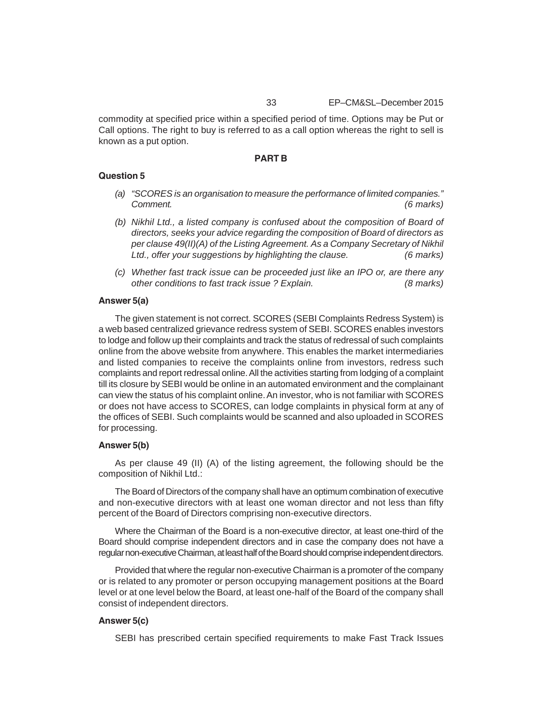commodity at specified price within a specified period of time. Options may be Put or Call options. The right to buy is referred to as a call option whereas the right to sell is known as a put option.

#### **PART B**

#### **Question 5**

- *(a) "SCORES is an organisation to measure the performance of limited companies." Comment. (6 marks)*
- *(b) Nikhil Ltd., a listed company is confused about the composition of Board of directors, seeks your advice regarding the composition of Board of directors as per clause 49(II)(A) of the Listing Agreement. As a Company Secretary of Nikhil Ltd., offer your suggestions by highlighting the clause. (6 marks)*
- *(c) Whether fast track issue can be proceeded just like an IPO or, are there any other conditions to fast track issue ? Explain. (8 marks)*

# **Answer 5(a)**

The given statement is not correct. SCORES (SEBI Complaints Redress System) is a web based centralized grievance redress system of SEBI. SCORES enables investors to lodge and follow up their complaints and track the status of redressal of such complaints online from the above website from anywhere. This enables the market intermediaries and listed companies to receive the complaints online from investors, redress such complaints and report redressal online. All the activities starting from lodging of a complaint till its closure by SEBI would be online in an automated environment and the complainant can view the status of his complaint online. An investor, who is not familiar with SCORES or does not have access to SCORES, can lodge complaints in physical form at any of the offices of SEBI. Such complaints would be scanned and also uploaded in SCORES for processing.

#### **Answer 5(b)**

As per clause 49 (II) (A) of the listing agreement, the following should be the composition of Nikhil Ltd.:

The Board of Directors of the company shall have an optimum combination of executive and non-executive directors with at least one woman director and not less than fifty percent of the Board of Directors comprising non-executive directors.

Where the Chairman of the Board is a non-executive director, at least one-third of the Board should comprise independent directors and in case the company does not have a regular non-executive Chairman, at least half of the Board should comprise independent directors.

Provided that where the regular non-executive Chairman is a promoter of the company or is related to any promoter or person occupying management positions at the Board level or at one level below the Board, at least one-half of the Board of the company shall consist of independent directors.

# **Answer 5(c)**

SEBI has prescribed certain specified requirements to make Fast Track Issues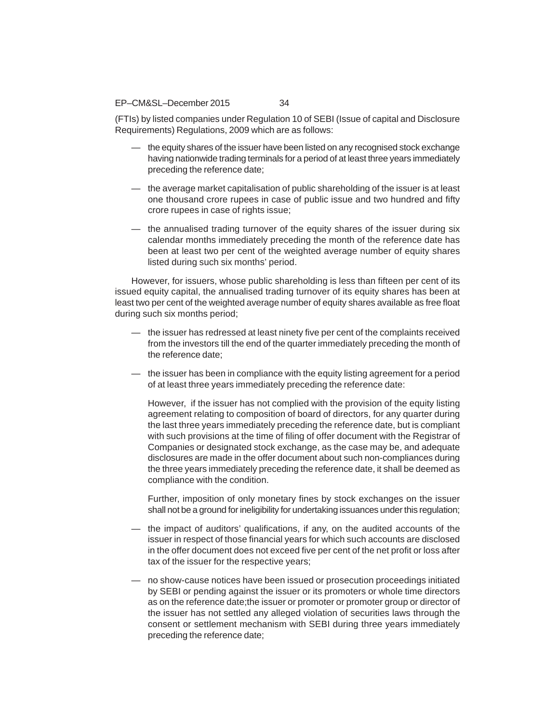#### EP–CM&SL–December 2015 34

(FTIs) by listed companies under Regulation 10 of SEBI (Issue of capital and Disclosure Requirements) Regulations, 2009 which are as follows:

- the equity shares of the issuer have been listed on any recognised stock exchange having nationwide trading terminals for a period of at least three years immediately preceding the reference date;
- the average market capitalisation of public shareholding of the issuer is at least one thousand crore rupees in case of public issue and two hundred and fifty crore rupees in case of rights issue;
- the annualised trading turnover of the equity shares of the issuer during six calendar months immediately preceding the month of the reference date has been at least two per cent of the weighted average number of equity shares listed during such six months' period.

However, for issuers, whose public shareholding is less than fifteen per cent of its issued equity capital, the annualised trading turnover of its equity shares has been at least two per cent of the weighted average number of equity shares available as free float during such six months period;

- the issuer has redressed at least ninety five per cent of the complaints received from the investors till the end of the quarter immediately preceding the month of the reference date;
- the issuer has been in compliance with the equity listing agreement for a period of at least three years immediately preceding the reference date:

However, if the issuer has not complied with the provision of the equity listing agreement relating to composition of board of directors, for any quarter during the last three years immediately preceding the reference date, but is compliant with such provisions at the time of filing of offer document with the Registrar of Companies or designated stock exchange, as the case may be, and adequate disclosures are made in the offer document about such non-compliances during the three years immediately preceding the reference date, it shall be deemed as compliance with the condition.

Further, imposition of only monetary fines by stock exchanges on the issuer shall not be a ground for ineligibility for undertaking issuances under this regulation;

- the impact of auditors' qualifications, if any, on the audited accounts of the issuer in respect of those financial years for which such accounts are disclosed in the offer document does not exceed five per cent of the net profit or loss after tax of the issuer for the respective years;
- no show-cause notices have been issued or prosecution proceedings initiated by SEBI or pending against the issuer or its promoters or whole time directors as on the reference date;the issuer or promoter or promoter group or director of the issuer has not settled any alleged violation of securities laws through the consent or settlement mechanism with SEBI during three years immediately preceding the reference date;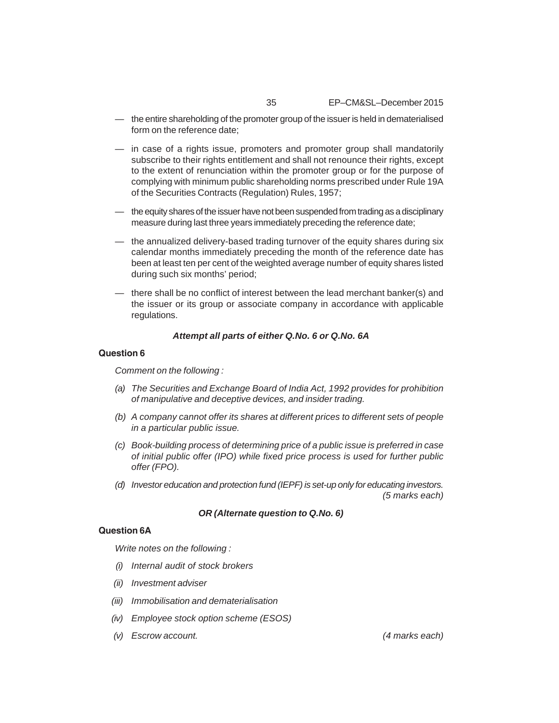- the entire shareholding of the promoter group of the issuer is held in dematerialised form on the reference date;
- in case of a rights issue, promoters and promoter group shall mandatorily subscribe to their rights entitlement and shall not renounce their rights, except to the extent of renunciation within the promoter group or for the purpose of complying with minimum public shareholding norms prescribed under Rule 19A of the Securities Contracts (Regulation) Rules, 1957;
- the equity shares of the issuer have not been suspended from trading as a disciplinary measure during last three years immediately preceding the reference date;
- the annualized delivery-based trading turnover of the equity shares during six calendar months immediately preceding the month of the reference date has been at least ten per cent of the weighted average number of equity shares listed during such six months' period;
- there shall be no conflict of interest between the lead merchant banker(s) and the issuer or its group or associate company in accordance with applicable regulations.

# *Attempt all parts of either Q.No. 6 or Q.No. 6A*

# **Question 6**

*Comment on the following :*

- *(a) The Securities and Exchange Board of India Act, 1992 provides for prohibition of manipulative and deceptive devices, and insider trading.*
- *(b) A company cannot offer its shares at different prices to different sets of people in a particular public issue.*
- *(c) Book-building process of determining price of a public issue is preferred in case of initial public offer (IPO) while fixed price process is used for further public offer (FPO).*
- *(d) Investor education and protection fund (IEPF) is set-up only for educating investors. (5 marks each)*

# *OR (Alternate question to Q.No. 6)*

# **Question 6A**

*Write notes on the following :*

- *(i) Internal audit of stock brokers*
- *(ii) Investment adviser*
- *(iii) Immobilisation and dematerialisation*
- *(iv) Employee stock option scheme (ESOS)*
- *(v) Escrow account. (4 marks each)*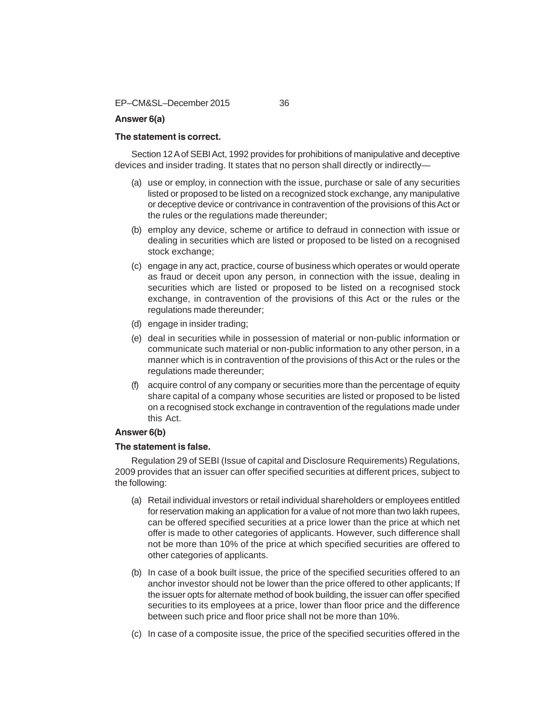EP–CM&SL–December 2015 36

# **Answer 6(a)**

# **The statement is correct.**

Section 12 A of SEBI Act, 1992 provides for prohibitions of manipulative and deceptive devices and insider trading. It states that no person shall directly or indirectly—

- (a) use or employ, in connection with the issue, purchase or sale of any securities listed or proposed to be listed on a recognized stock exchange, any manipulative or deceptive device or contrivance in contravention of the provisions of this Act or the rules or the regulations made thereunder;
- (b) employ any device, scheme or artifice to defraud in connection with issue or dealing in securities which are listed or proposed to be listed on a recognised stock exchange;
- (c) engage in any act, practice, course of business which operates or would operate as fraud or deceit upon any person, in connection with the issue, dealing in securities which are listed or proposed to be listed on a recognised stock exchange, in contravention of the provisions of this Act or the rules or the regulations made thereunder;
- (d) engage in insider trading;
- (e) deal in securities while in possession of material or non-public information or communicate such material or non-public information to any other person, in a manner which is in contravention of the provisions of this Act or the rules or the regulations made thereunder;
- (f) acquire control of any company or securities more than the percentage of equity share capital of a company whose securities are listed or proposed to be listed on a recognised stock exchange in contravention of the regulations made under this Act.

# **Answer 6(b)**

#### **The statement is false.**

Regulation 29 of SEBI (Issue of capital and Disclosure Requirements) Regulations, 2009 provides that an issuer can offer specified securities at different prices, subject to the following:

- (a) Retail individual investors or retail individual shareholders or employees entitled for reservation making an application for a value of not more than two lakh rupees, can be offered specified securities at a price lower than the price at which net offer is made to other categories of applicants. However, such difference shall not be more than 10% of the price at which specified securities are offered to other categories of applicants.
- (b) In case of a book built issue, the price of the specified securities offered to an anchor investor should not be lower than the price offered to other applicants; If the issuer opts for alternate method of book building, the issuer can offer specified securities to its employees at a price, lower than floor price and the difference between such price and floor price shall not be more than 10%.
- (c) In case of a composite issue, the price of the specified securities offered in the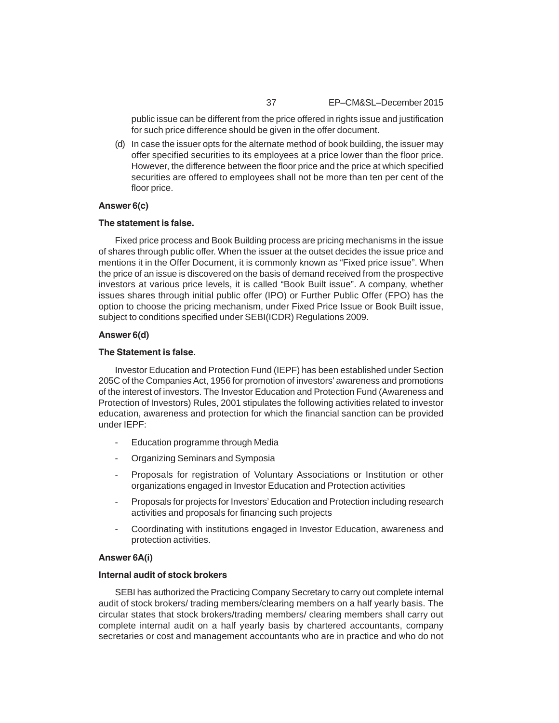public issue can be different from the price offered in rights issue and justification for such price difference should be given in the offer document.

(d) In case the issuer opts for the alternate method of book building, the issuer may offer specified securities to its employees at a price lower than the floor price. However, the difference between the floor price and the price at which specified securities are offered to employees shall not be more than ten per cent of the floor price.

# **Answer 6(c)**

#### **The statement is false.**

Fixed price process and Book Building process are pricing mechanisms in the issue of shares through public offer. When the issuer at the outset decides the issue price and mentions it in the Offer Document, it is commonly known as "Fixed price issue". When the price of an issue is discovered on the basis of demand received from the prospective investors at various price levels, it is called "Book Built issue". A company, whether issues shares through initial public offer (IPO) or Further Public Offer (FPO) has the option to choose the pricing mechanism, under Fixed Price Issue or Book Built issue, subject to conditions specified under SEBI(ICDR) Regulations 2009.

### **Answer 6(d)**

#### **The Statement is false.**

Investor Education and Protection Fund (IEPF) has been established under Section 205C of the Companies Act, 1956 for promotion of investors' awareness and promotions of the interest of investors. The Investor Education and Protection Fund (Awareness and Protection of Investors) Rules, 2001 stipulates the following activities related to investor education, awareness and protection for which the financial sanction can be provided under IEPF:

- Education programme through Media
- Organizing Seminars and Symposia
- Proposals for registration of Voluntary Associations or Institution or other organizations engaged in Investor Education and Protection activities
- Proposals for projects for Investors' Education and Protection including research activities and proposals for financing such projects
- Coordinating with institutions engaged in Investor Education, awareness and protection activities.

## **Answer 6A(i)**

#### **Internal audit of stock brokers**

SEBI has authorized the Practicing Company Secretary to carry out complete internal audit of stock brokers/ trading members/clearing members on a half yearly basis. The circular states that stock brokers/trading members/ clearing members shall carry out complete internal audit on a half yearly basis by chartered accountants, company secretaries or cost and management accountants who are in practice and who do not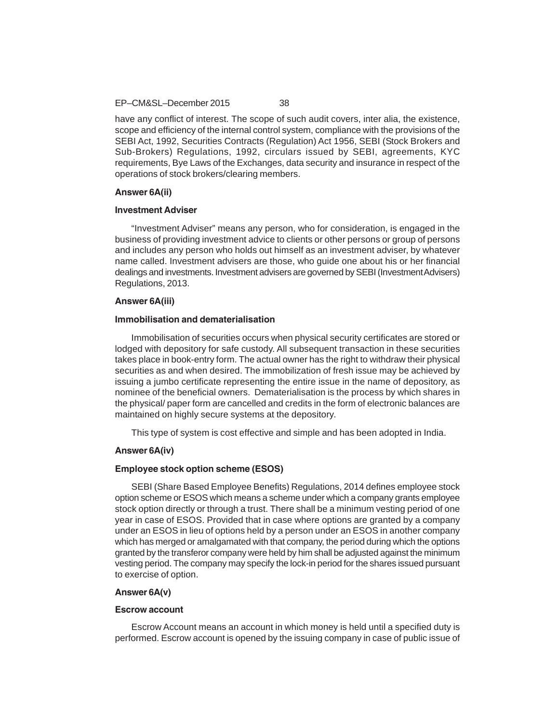have any conflict of interest. The scope of such audit covers, inter alia, the existence, scope and efficiency of the internal control system, compliance with the provisions of the SEBI Act, 1992, Securities Contracts (Regulation) Act 1956, SEBI (Stock Brokers and Sub-Brokers) Regulations, 1992, circulars issued by SEBI, agreements, KYC requirements, Bye Laws of the Exchanges, data security and insurance in respect of the operations of stock brokers/clearing members.

#### **Answer 6A(ii)**

#### **Investment Adviser**

"Investment Adviser" means any person, who for consideration, is engaged in the business of providing investment advice to clients or other persons or group of persons and includes any person who holds out himself as an investment adviser, by whatever name called. Investment advisers are those, who guide one about his or her financial dealings and investments. Investment advisers are governed by SEBI (Investment Advisers) Regulations, 2013.

### **Answer 6A(iii)**

# **Immobilisation and dematerialisation**

Immobilisation of securities occurs when physical security certificates are stored or lodged with depository for safe custody. All subsequent transaction in these securities takes place in book-entry form. The actual owner has the right to withdraw their physical securities as and when desired. The immobilization of fresh issue may be achieved by issuing a jumbo certificate representing the entire issue in the name of depository, as nominee of the beneficial owners. Dematerialisation is the process by which shares in the physical/ paper form are cancelled and credits in the form of electronic balances are maintained on highly secure systems at the depository.

This type of system is cost effective and simple and has been adopted in India.

# **Answer 6A(iv)**

#### **Employee stock option scheme (ESOS)**

SEBI (Share Based Employee Benefits) Regulations, 2014 defines employee stock option scheme or ESOS which means a scheme under which a company grants employee stock option directly or through a trust. There shall be a minimum vesting period of one year in case of ESOS. Provided that in case where options are granted by a company under an ESOS in lieu of options held by a person under an ESOS in another company which has merged or amalgamated with that company, the period during which the options granted by the transferor company were held by him shall be adjusted against the minimum vesting period. The company may specify the lock-in period for the shares issued pursuant to exercise of option.

## **Answer 6A(v)**

#### **Escrow account**

Escrow Account means an account in which money is held until a specified duty is performed. Escrow account is opened by the issuing company in case of public issue of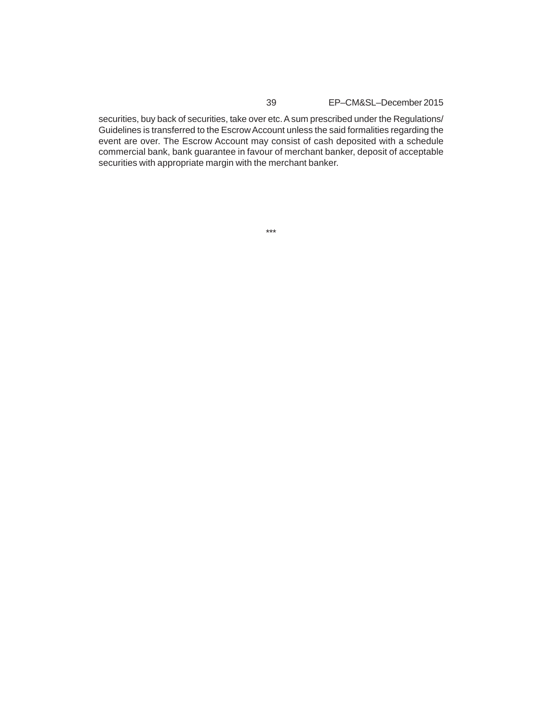securities, buy back of securities, take over etc. A sum prescribed under the Regulations/ Guidelines is transferred to the Escrow Account unless the said formalities regarding the event are over. The Escrow Account may consist of cash deposited with a schedule commercial bank, bank guarantee in favour of merchant banker, deposit of acceptable securities with appropriate margin with the merchant banker.

\*\*\*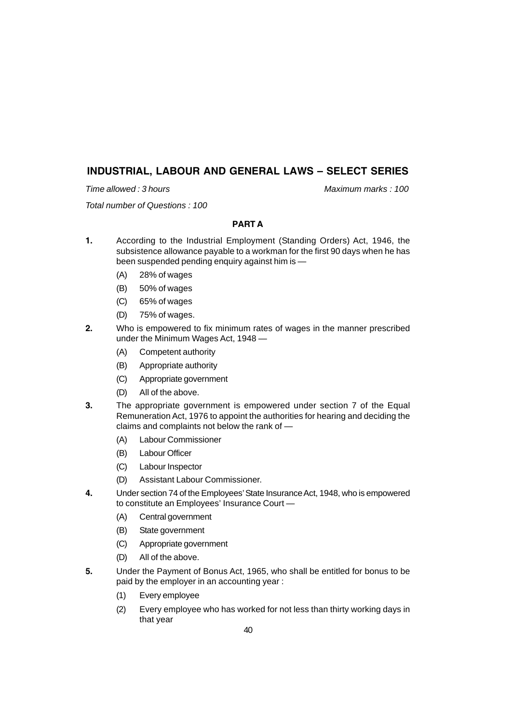# **INDUSTRIAL, LABOUR AND GENERAL LAWS – SELECT SERIES**

*Time allowed : 3 hours* Maximum marks : 100

*Total number of Questions : 100*

# **PART A**

- **1.** According to the Industrial Employment (Standing Orders) Act, 1946, the subsistence allowance payable to a workman for the first 90 days when he has been suspended pending enquiry against him is —
	- (A) 28% of wages
	- (B) 50% of wages
	- (C) 65% of wages
	- (D) 75% of wages.
- **2.** Who is empowered to fix minimum rates of wages in the manner prescribed under the Minimum Wages Act, 1948 —
	- (A) Competent authority
	- (B) Appropriate authority
	- (C) Appropriate government
	- (D) All of the above.
- **3.** The appropriate government is empowered under section 7 of the Equal Remuneration Act, 1976 to appoint the authorities for hearing and deciding the claims and complaints not below the rank of —
	- (A) Labour Commissioner
	- (B) Labour Officer
	- (C) Labour Inspector
	- (D) Assistant Labour Commissioner.
- **4.** Under section 74 of the Employees' State Insurance Act, 1948, who is empowered to constitute an Employees' Insurance Court —
	- (A) Central government
	- (B) State government
	- (C) Appropriate government
	- (D) All of the above.
- **5.** Under the Payment of Bonus Act, 1965, who shall be entitled for bonus to be paid by the employer in an accounting year :
	- (1) Every employee
	- (2) Every employee who has worked for not less than thirty working days in that year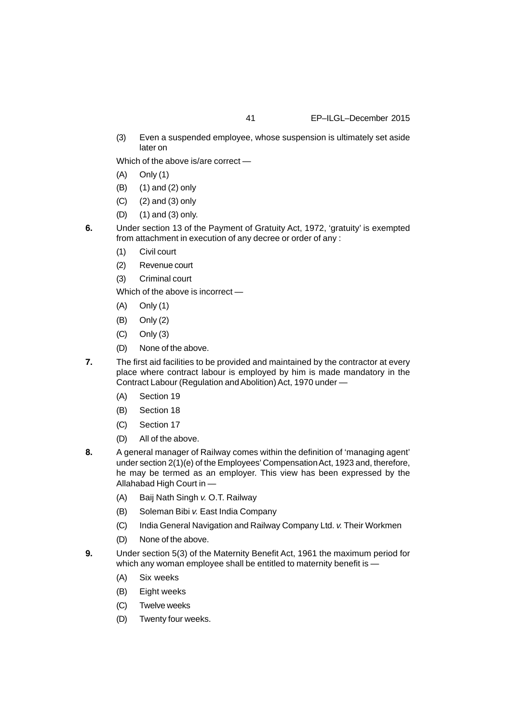(3) Even a suspended employee, whose suspension is ultimately set aside later on

Which of the above is/are correct —

- (A) Only (1)
- (B) (1) and (2) only
- (C) (2) and (3) only
- (D) (1) and (3) only.
- **6.** Under section 13 of the Payment of Gratuity Act, 1972, 'gratuity' is exempted from attachment in execution of any decree or order of any :
	- (1) Civil court
	- (2) Revenue court
	- (3) Criminal court

Which of the above is incorrect —

- (A) Only (1)
- (B) Only (2)
- (C) Only (3)
- (D) None of the above.
- **7.** The first aid facilities to be provided and maintained by the contractor at every place where contract labour is employed by him is made mandatory in the Contract Labour (Regulation and Abolition) Act, 1970 under —
	- (A) Section 19
	- (B) Section 18
	- (C) Section 17
	- (D) All of the above.
- **8.** A general manager of Railway comes within the definition of 'managing agent' under section 2(1)(e) of the Employees' Compensation Act, 1923 and, therefore, he may be termed as an employer. This view has been expressed by the Allahabad High Court in —
	- (A) Baij Nath Singh *v.* O.T. Railway
	- (B) Soleman Bibi *v.* East India Company
	- (C) India General Navigation and Railway Company Ltd. *v.* Their Workmen
	- (D) None of the above.
- **9.** Under section 5(3) of the Maternity Benefit Act, 1961 the maximum period for which any woman employee shall be entitled to maternity benefit is -
	- (A) Six weeks
	- (B) Eight weeks
	- (C) Twelve weeks
	- (D) Twenty four weeks.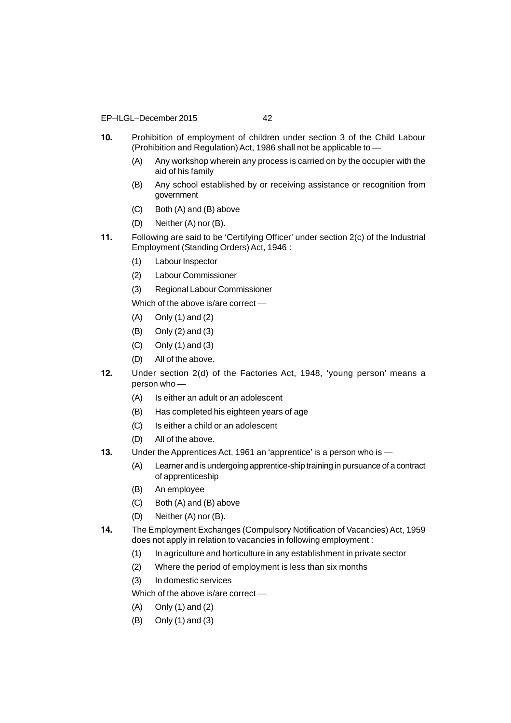EP–ILGL–December 2015 42

- **10.** Prohibition of employment of children under section 3 of the Child Labour (Prohibition and Regulation) Act, 1986 shall not be applicable to —
	- (A) Any workshop wherein any process is carried on by the occupier with the aid of his family
	- (B) Any school established by or receiving assistance or recognition from government
	- (C) Both (A) and (B) above
	- (D) Neither (A) nor (B).
- **11.** Following are said to be 'Certifying Officer' under section 2(c) of the Industrial Employment (Standing Orders) Act, 1946 :
	- (1) Labour Inspector
	- (2) Labour Commissioner
	- (3) Regional Labour Commissioner

Which of the above is/are correct —

- (A) Only (1) and (2)
- (B) Only (2) and (3)
- (C) Only (1) and (3)
- (D) All of the above.
- **12.** Under section 2(d) of the Factories Act, 1948, 'young person' means a person who -
	- (A) Is either an adult or an adolescent
	- (B) Has completed his eighteen years of age
	- (C) Is either a child or an adolescent
	- (D) All of the above.
- **13.** Under the Apprentices Act, 1961 an 'apprentice' is a person who is
	- (A) Learner and is undergoing apprentice-ship training in pursuance of a contract of apprenticeship
	- (B) An employee
	- (C) Both (A) and (B) above
	- (D) Neither (A) nor (B).
- **14.** The Employment Exchanges (Compulsory Notification of Vacancies) Act, 1959 does not apply in relation to vacancies in following employment :
	- (1) In agriculture and horticulture in any establishment in private sector
	- (2) Where the period of employment is less than six months
	- (3) In domestic services

Which of the above is/are correct —

- (A) Only (1) and (2)
- (B) Only (1) and (3)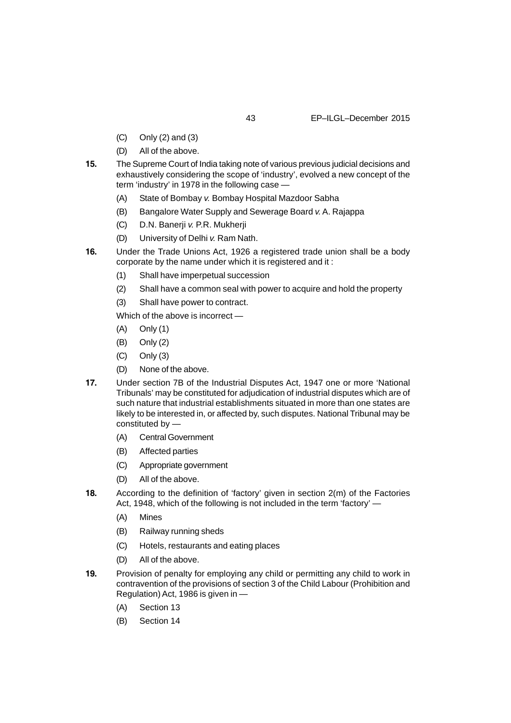- (C) Only (2) and (3)
- (D) All of the above.
- **15.** The Supreme Court of India taking note of various previous judicial decisions and exhaustively considering the scope of 'industry', evolved a new concept of the term 'industry' in 1978 in the following case —
	- (A) State of Bombay *v.* Bombay Hospital Mazdoor Sabha
	- (B) Bangalore Water Supply and Sewerage Board *v.* A. Rajappa
	- (C) D.N. Banerji *v.* P.R. Mukherji
	- (D) University of Delhi *v.* Ram Nath.
- **16.** Under the Trade Unions Act, 1926 a registered trade union shall be a body corporate by the name under which it is registered and it :
	- (1) Shall have imperpetual succession
	- (2) Shall have a common seal with power to acquire and hold the property
	- (3) Shall have power to contract.

Which of the above is incorrect —

- (A) Only (1)
- (B) Only (2)
- (C) Only (3)
- (D) None of the above.
- **17.** Under section 7B of the Industrial Disputes Act, 1947 one or more 'National Tribunals' may be constituted for adjudication of industrial disputes which are of such nature that industrial establishments situated in more than one states are likely to be interested in, or affected by, such disputes. National Tribunal may be constituted by —
	- (A) Central Government
	- (B) Affected parties
	- (C) Appropriate government
	- (D) All of the above.
- **18.** According to the definition of 'factory' given in section 2(m) of the Factories Act, 1948, which of the following is not included in the term 'factory' —
	- (A) Mines
	- (B) Railway running sheds
	- (C) Hotels, restaurants and eating places
	- (D) All of the above.
- **19.** Provision of penalty for employing any child or permitting any child to work in contravention of the provisions of section 3 of the Child Labour (Prohibition and Regulation) Act, 1986 is given in —
	- (A) Section 13
	- (B) Section 14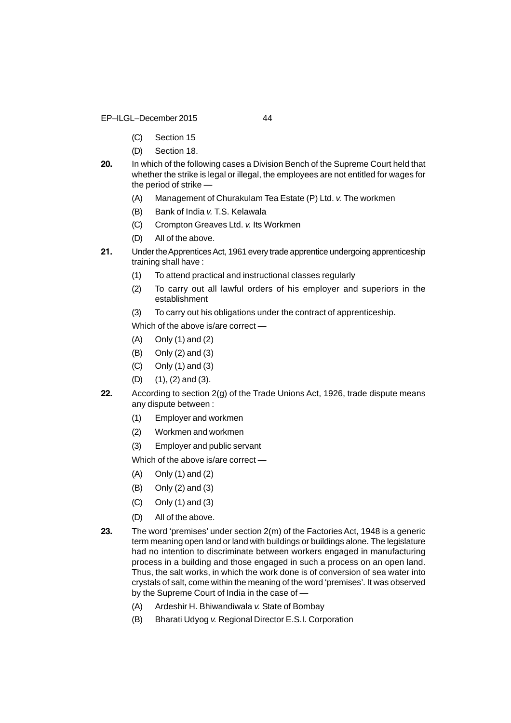EP–ILGL–December 2015 44

- (C) Section 15
- (D) Section 18.
- **20.** In which of the following cases a Division Bench of the Supreme Court held that whether the strike is legal or illegal, the employees are not entitled for wages for the period of strike —
	- (A) Management of Churakulam Tea Estate (P) Ltd. *v.* The workmen
	- (B) Bank of India *v.* T.S. Kelawala
	- (C) Crompton Greaves Ltd. *v.* Its Workmen
	- (D) All of the above.
- **21.** Under the Apprentices Act, 1961 every trade apprentice undergoing apprenticeship training shall have :
	- (1) To attend practical and instructional classes regularly
	- (2) To carry out all lawful orders of his employer and superiors in the establishment
	- (3) To carry out his obligations under the contract of apprenticeship.

Which of the above is/are correct —

- (A) Only (1) and (2)
- (B) Only (2) and (3)
- (C) Only (1) and (3)
- (D) (1), (2) and (3).
- **22.** According to section 2(g) of the Trade Unions Act, 1926, trade dispute means any dispute between :
	- (1) Employer and workmen
	- (2) Workmen and workmen
	- (3) Employer and public servant

Which of the above is/are correct —

- (A) Only (1) and (2)
- (B) Only (2) and (3)
- (C) Only (1) and (3)
- (D) All of the above.
- **23.** The word 'premises' under section 2(m) of the Factories Act, 1948 is a generic term meaning open land or land with buildings or buildings alone. The legislature had no intention to discriminate between workers engaged in manufacturing process in a building and those engaged in such a process on an open land. Thus, the salt works, in which the work done is of conversion of sea water into crystals of salt, come within the meaning of the word 'premises'. It was observed by the Supreme Court of India in the case of —
	- (A) Ardeshir H. Bhiwandiwala *v.* State of Bombay
	- (B) Bharati Udyog *v.* Regional Director E.S.I. Corporation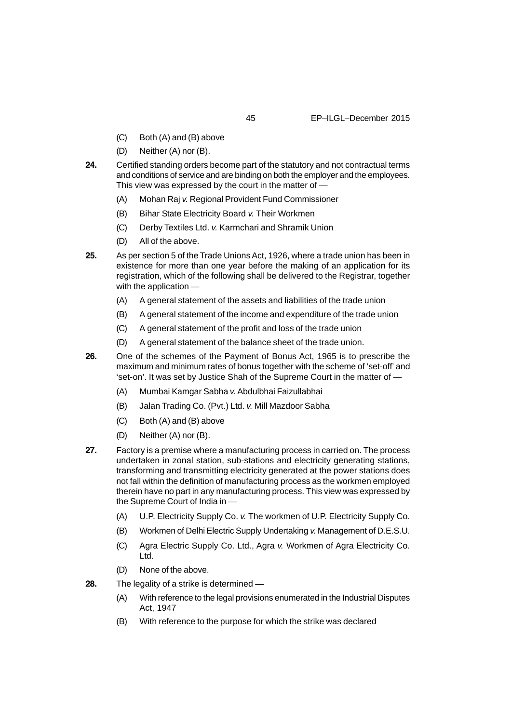- (C) Both (A) and (B) above
- (D) Neither (A) nor (B).
- **24.** Certified standing orders become part of the statutory and not contractual terms and conditions of service and are binding on both the employer and the employees. This view was expressed by the court in the matter of —
	- (A) Mohan Raj *v.* Regional Provident Fund Commissioner
	- (B) Bihar State Electricity Board *v.* Their Workmen
	- (C) Derby Textiles Ltd. *v.* Karmchari and Shramik Union
	- (D) All of the above.
- **25.** As per section 5 of the Trade Unions Act, 1926, where a trade union has been in existence for more than one year before the making of an application for its registration, which of the following shall be delivered to the Registrar, together with the application —
	- (A) A general statement of the assets and liabilities of the trade union
	- (B) A general statement of the income and expenditure of the trade union
	- (C) A general statement of the profit and loss of the trade union
	- (D) A general statement of the balance sheet of the trade union.
- **26.** One of the schemes of the Payment of Bonus Act, 1965 is to prescribe the maximum and minimum rates of bonus together with the scheme of 'set-off' and 'set-on'. It was set by Justice Shah of the Supreme Court in the matter of —
	- (A) Mumbai Kamgar Sabha *v.* Abdulbhai Faizullabhai
	- (B) Jalan Trading Co. (Pvt.) Ltd. *v.* Mill Mazdoor Sabha
	- (C) Both (A) and (B) above
	- (D) Neither (A) nor (B).
- **27.** Factory is a premise where a manufacturing process in carried on. The process undertaken in zonal station, sub-stations and electricity generating stations, transforming and transmitting electricity generated at the power stations does not fall within the definition of manufacturing process as the workmen employed therein have no part in any manufacturing process. This view was expressed by the Supreme Court of India in —
	- (A) U.P. Electricity Supply Co. *v.* The workmen of U.P. Electricity Supply Co.
	- (B) Workmen of Delhi Electric Supply Undertaking *v.* Management of D.E.S.U.
	- (C) Agra Electric Supply Co. Ltd., Agra *v.* Workmen of Agra Electricity Co. Ltd.
	- (D) None of the above.
- **28.** The legality of a strike is determined
	- (A) With reference to the legal provisions enumerated in the Industrial Disputes Act, 1947
	- (B) With reference to the purpose for which the strike was declared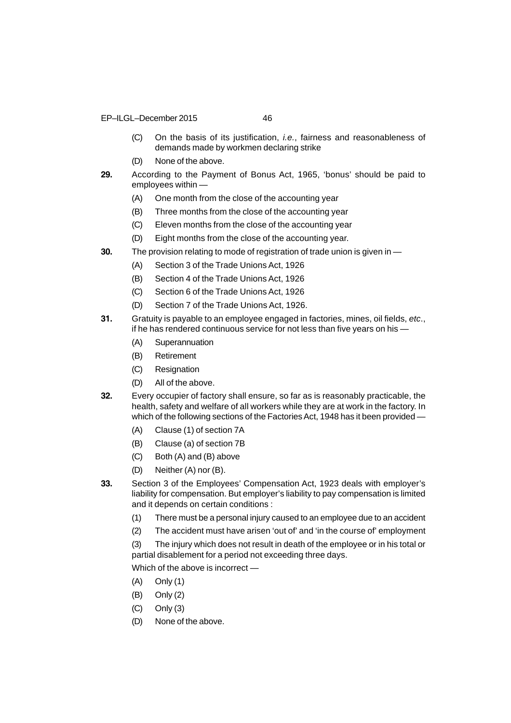- EP–ILGL–December 2015 46
	-
	- (C) On the basis of its justification, *i.e.*, fairness and reasonableness of demands made by workmen declaring strike
	- (D) None of the above.
- **29.** According to the Payment of Bonus Act, 1965, 'bonus' should be paid to employees within —
	- (A) One month from the close of the accounting year
	- (B) Three months from the close of the accounting year
	- (C) Eleven months from the close of the accounting year
	- (D) Eight months from the close of the accounting year.
- **30.** The provision relating to mode of registration of trade union is given in
	- (A) Section 3 of the Trade Unions Act, 1926
	- (B) Section 4 of the Trade Unions Act, 1926
	- (C) Section 6 of the Trade Unions Act, 1926
	- (D) Section 7 of the Trade Unions Act, 1926.
- **31.** Gratuity is payable to an employee engaged in factories, mines, oil fields, *etc*., if he has rendered continuous service for not less than five years on his —
	- (A) Superannuation
	- (B) Retirement
	- (C) Resignation
	- (D) All of the above.
- **32.** Every occupier of factory shall ensure, so far as is reasonably practicable, the health, safety and welfare of all workers while they are at work in the factory. In which of the following sections of the Factories Act, 1948 has it been provided —
	- (A) Clause (1) of section 7A
	- (B) Clause (a) of section 7B
	- (C) Both (A) and (B) above
	- (D) Neither (A) nor (B).
- **33.** Section 3 of the Employees' Compensation Act, 1923 deals with employer's liability for compensation. But employer's liability to pay compensation is limited and it depends on certain conditions :
	- (1) There must be a personal injury caused to an employee due to an accident
	- (2) The accident must have arisen 'out of' and 'in the course of' employment
	- (3) The injury which does not result in death of the employee or in his total or partial disablement for a period not exceeding three days.

Which of the above is incorrect —

- (A) Only (1)
- (B) Only (2)
- (C) Only (3)
- (D) None of the above.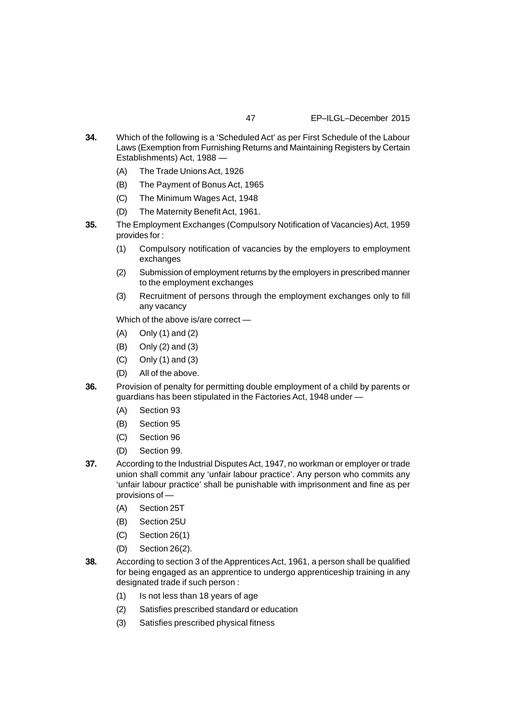- **34.** Which of the following is a 'Scheduled Act' as per First Schedule of the Labour Laws (Exemption from Furnishing Returns and Maintaining Registers by Certain Establishments) Act, 1988 —
	- (A) The Trade Unions Act, 1926
	- (B) The Payment of Bonus Act, 1965
	- (C) The Minimum Wages Act, 1948
	- (D) The Maternity Benefit Act, 1961.
- **35.** The Employment Exchanges (Compulsory Notification of Vacancies) Act, 1959 provides for :
	- (1) Compulsory notification of vacancies by the employers to employment exchanges
	- (2) Submission of employment returns by the employers in prescribed manner to the employment exchanges
	- (3) Recruitment of persons through the employment exchanges only to fill any vacancy

Which of the above is/are correct —

- (A) Only (1) and (2)
- (B) Only (2) and (3)
- (C) Only (1) and (3)
- (D) All of the above.
- **36.** Provision of penalty for permitting double employment of a child by parents or guardians has been stipulated in the Factories Act, 1948 under —
	- (A) Section 93
	- (B) Section 95
	- (C) Section 96
	- (D) Section 99.
- **37.** According to the Industrial Disputes Act, 1947, no workman or employer or trade union shall commit any 'unfair labour practice'. Any person who commits any 'unfair labour practice' shall be punishable with imprisonment and fine as per provisions of —
	- (A) Section 25T
	- (B) Section 25U
	- (C) Section 26(1)
	- (D) Section 26(2).
- **38.** According to section 3 of the Apprentices Act, 1961, a person shall be qualified for being engaged as an apprentice to undergo apprenticeship training in any designated trade if such person :
	- (1) Is not less than 18 years of age
	- (2) Satisfies prescribed standard or education
	- (3) Satisfies prescribed physical fitness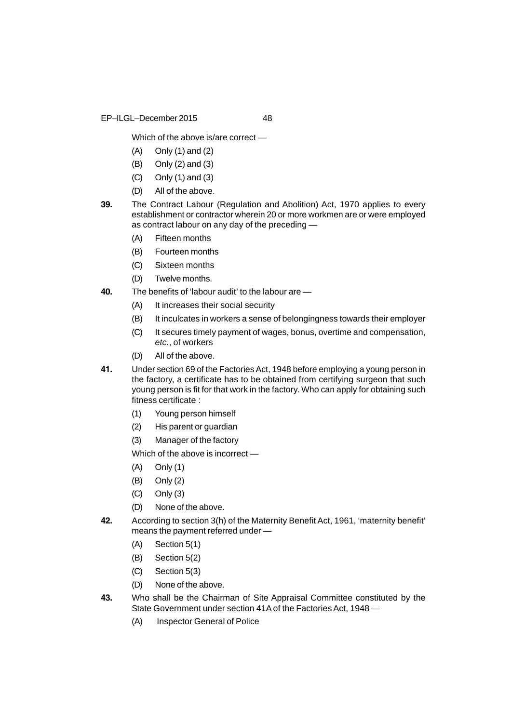EP–ILGL–December 2015 48

Which of the above is/are correct —

- (A) Only (1) and (2)
- (B) Only (2) and (3)
- (C) Only (1) and (3)
- (D) All of the above.
- **39.** The Contract Labour (Regulation and Abolition) Act, 1970 applies to every establishment or contractor wherein 20 or more workmen are or were employed as contract labour on any day of the preceding —
	- (A) Fifteen months
	- (B) Fourteen months
	- (C) Sixteen months
	- (D) Twelve months.
- **40.** The benefits of 'labour audit' to the labour are
	- (A) It increases their social security
	- (B) It inculcates in workers a sense of belongingness towards their employer
	- (C) It secures timely payment of wages, bonus, overtime and compensation, *etc.*, of workers
	- (D) All of the above.
- **41.** Under section 69 of the Factories Act, 1948 before employing a young person in the factory, a certificate has to be obtained from certifying surgeon that such young person is fit for that work in the factory. Who can apply for obtaining such fitness certificate :
	- (1) Young person himself
	- (2) His parent or guardian
	- (3) Manager of the factory

Which of the above is incorrect —

- (A) Only (1)
- (B) Only (2)
- (C) Only (3)
- (D) None of the above.
- **42.** According to section 3(h) of the Maternity Benefit Act, 1961, 'maternity benefit' means the payment referred under —
	- (A) Section 5(1)
	- (B) Section 5(2)
	- (C) Section 5(3)
	- (D) None of the above.
- **43.** Who shall be the Chairman of Site Appraisal Committee constituted by the State Government under section 41A of the Factories Act, 1948 —
	- (A) Inspector General of Police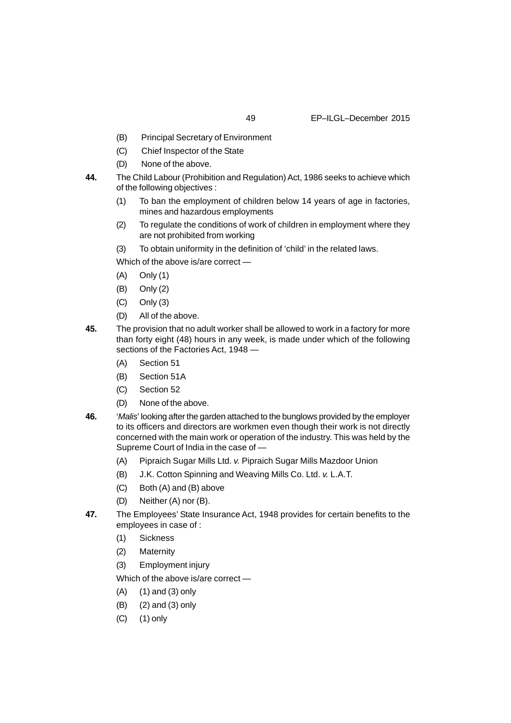- (B) Principal Secretary of Environment
- (C) Chief Inspector of the State
- (D) None of the above.
- **44.** The Child Labour (Prohibition and Regulation) Act, 1986 seeks to achieve which of the following objectives :
	- (1) To ban the employment of children below 14 years of age in factories, mines and hazardous employments
	- (2) To regulate the conditions of work of children in employment where they are not prohibited from working
	- (3) To obtain uniformity in the definition of 'child' in the related laws.

Which of the above is/are correct —

- (A) Only (1)
- (B) Only (2)
- (C) Only (3)
- (D) All of the above.
- **45.** The provision that no adult worker shall be allowed to work in a factory for more than forty eight (48) hours in any week, is made under which of the following sections of the Factories Act, 1948 —
	- (A) Section 51
	- (B) Section 51A
	- (C) Section 52
	- (D) None of the above.
- **46.** '*Malis*' looking after the garden attached to the bunglows provided by the employer to its officers and directors are workmen even though their work is not directly concerned with the main work or operation of the industry. This was held by the Supreme Court of India in the case of —
	- (A) Pipraich Sugar Mills Ltd. *v.* Pipraich Sugar Mills Mazdoor Union
	- (B) J.K. Cotton Spinning and Weaving Mills Co. Ltd. *v.* L.A.T.
	- (C) Both (A) and (B) above
	- (D) Neither (A) nor (B).
- **47.** The Employees' State Insurance Act, 1948 provides for certain benefits to the employees in case of :
	- (1) Sickness
	- (2) Maternity
	- (3) Employment injury

Which of the above is/are correct —

- (A) (1) and (3) only
- (B) (2) and (3) only
- (C) (1) only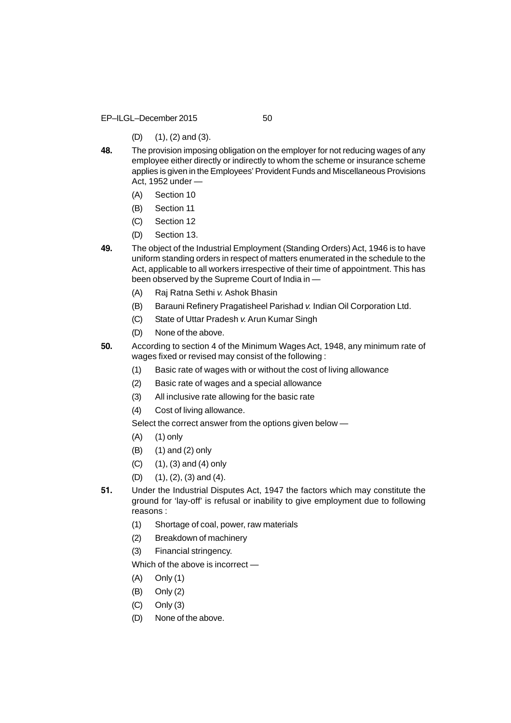EP–ILGL–December 2015 50

- (D) (1), (2) and (3).
- **48.** The provision imposing obligation on the employer for not reducing wages of any employee either directly or indirectly to whom the scheme or insurance scheme applies is given in the Employees' Provident Funds and Miscellaneous Provisions Act, 1952 under —
	- (A) Section 10
	- (B) Section 11
	- (C) Section 12
	- (D) Section 13.
- **49.** The object of the Industrial Employment (Standing Orders) Act, 1946 is to have uniform standing orders in respect of matters enumerated in the schedule to the Act, applicable to all workers irrespective of their time of appointment. This has been observed by the Supreme Court of India in —
	- (A) Raj Ratna Sethi *v.* Ashok Bhasin
	- (B) Barauni Refinery Pragatisheel Parishad *v.* Indian Oil Corporation Ltd.
	- (C) State of Uttar Pradesh *v.* Arun Kumar Singh
	- (D) None of the above.
- **50.** According to section 4 of the Minimum Wages Act, 1948, any minimum rate of wages fixed or revised may consist of the following :
	- (1) Basic rate of wages with or without the cost of living allowance
	- (2) Basic rate of wages and a special allowance
	- (3) All inclusive rate allowing for the basic rate
	- (4) Cost of living allowance.

Select the correct answer from the options given below —

- (A) (1) only
- (B) (1) and (2) only
- (C) (1), (3) and (4) only
- (D) (1), (2), (3) and (4).
- **51.** Under the Industrial Disputes Act, 1947 the factors which may constitute the ground for 'lay-off' is refusal or inability to give employment due to following reasons :
	- (1) Shortage of coal, power, raw materials
	- (2) Breakdown of machinery
	- (3) Financial stringency.

Which of the above is incorrect —

- (A) Only (1)
- (B) Only (2)
- (C) Only (3)
- (D) None of the above.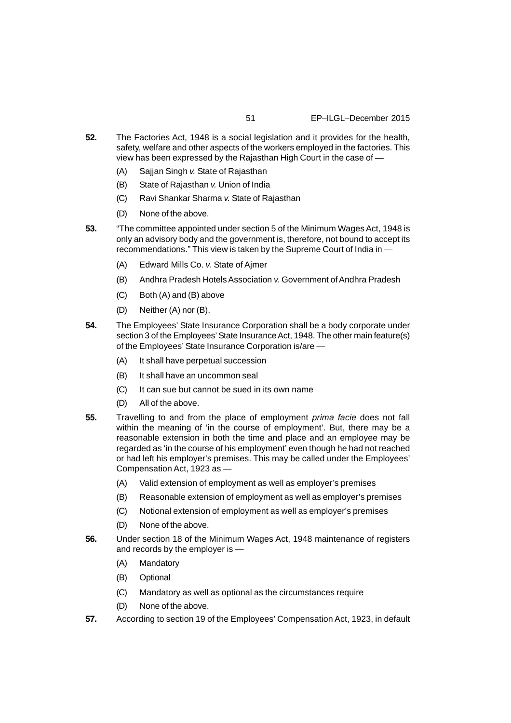- **52.** The Factories Act, 1948 is a social legislation and it provides for the health, safety, welfare and other aspects of the workers employed in the factories. This view has been expressed by the Rajasthan High Court in the case of —
	- (A) Sajjan Singh *v.* State of Rajasthan
	- (B) State of Rajasthan *v.* Union of India
	- (C) Ravi Shankar Sharma *v.* State of Rajasthan
	- (D) None of the above.
- **53.** "The committee appointed under section 5 of the Minimum Wages Act, 1948 is only an advisory body and the government is, therefore, not bound to accept its recommendations." This view is taken by the Supreme Court of India in —
	- (A) Edward Mills Co. *v.* State of Ajmer
	- (B) Andhra Pradesh Hotels Association *v.* Government of Andhra Pradesh
	- (C) Both (A) and (B) above
	- (D) Neither (A) nor (B).
- **54.** The Employees' State Insurance Corporation shall be a body corporate under section 3 of the Employees' State Insurance Act, 1948. The other main feature(s) of the Employees' State Insurance Corporation is/are —
	- (A) It shall have perpetual succession
	- (B) It shall have an uncommon seal
	- (C) It can sue but cannot be sued in its own name
	- (D) All of the above.
- **55.** Travelling to and from the place of employment *prima facie* does not fall within the meaning of 'in the course of employment'. But, there may be a reasonable extension in both the time and place and an employee may be regarded as 'in the course of his employment' even though he had not reached or had left his employer's premises. This may be called under the Employees' Compensation Act, 1923 as —
	- (A) Valid extension of employment as well as employer's premises
	- (B) Reasonable extension of employment as well as employer's premises
	- (C) Notional extension of employment as well as employer's premises
	- (D) None of the above.
- **56.** Under section 18 of the Minimum Wages Act, 1948 maintenance of registers and records by the employer is —
	- (A) Mandatory
	- (B) Optional
	- (C) Mandatory as well as optional as the circumstances require
	- (D) None of the above.
- **57.** According to section 19 of the Employees' Compensation Act, 1923, in default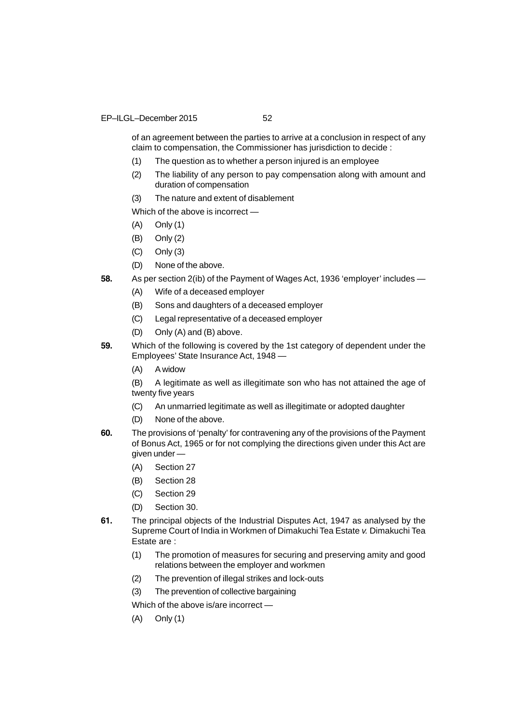of an agreement between the parties to arrive at a conclusion in respect of any claim to compensation, the Commissioner has jurisdiction to decide :

- (1) The question as to whether a person injured is an employee
- (2) The liability of any person to pay compensation along with amount and duration of compensation
- (3) The nature and extent of disablement

Which of the above is incorrect —

- (A) Only (1)
- (B) Only (2)
- (C) Only (3)
- (D) None of the above.
- **58.** As per section 2(ib) of the Payment of Wages Act, 1936 'employer' includes
	- (A) Wife of a deceased employer
	- (B) Sons and daughters of a deceased employer
	- (C) Legal representative of a deceased employer
	- (D) Only (A) and (B) above.
- **59.** Which of the following is covered by the 1st category of dependent under the Employees' State Insurance Act, 1948 —
	- (A) A widow

(B) A legitimate as well as illegitimate son who has not attained the age of twenty five years

- (C) An unmarried legitimate as well as illegitimate or adopted daughter
- (D) None of the above.
- **60.** The provisions of 'penalty' for contravening any of the provisions of the Payment of Bonus Act, 1965 or for not complying the directions given under this Act are given under —
	- (A) Section 27
	- (B) Section 28
	- (C) Section 29
	- (D) Section 30.
- **61.** The principal objects of the Industrial Disputes Act, 1947 as analysed by the Supreme Court of India in Workmen of Dimakuchi Tea Estate *v.* Dimakuchi Tea Estate are :
	- (1) The promotion of measures for securing and preserving amity and good relations between the employer and workmen
	- (2) The prevention of illegal strikes and lock-outs
	- (3) The prevention of collective bargaining

Which of the above is/are incorrect —

(A) Only (1)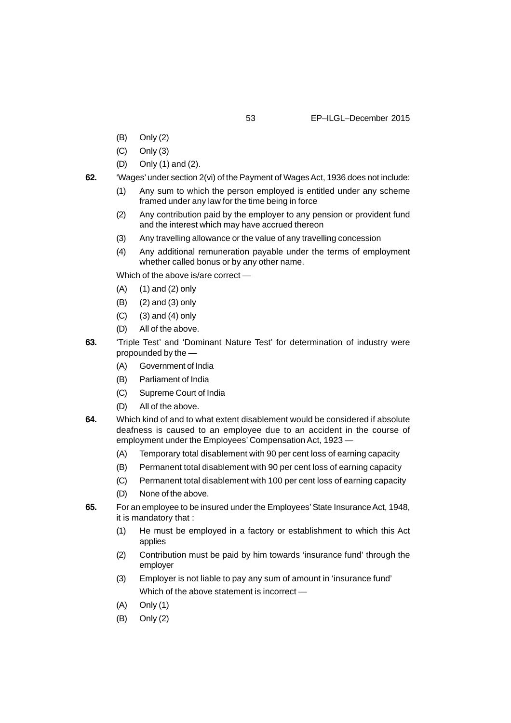- (B) Only (2)
- (C) Only (3)
- (D) Only (1) and (2).
- **62.** 'Wages' under section 2(vi) of the Payment of Wages Act, 1936 does not include:
	- (1) Any sum to which the person employed is entitled under any scheme framed under any law for the time being in force
	- (2) Any contribution paid by the employer to any pension or provident fund and the interest which may have accrued thereon
	- (3) Any travelling allowance or the value of any travelling concession
	- (4) Any additional remuneration payable under the terms of employment whether called bonus or by any other name.

Which of the above is/are correct —

- (A) (1) and (2) only
- (B) (2) and (3) only
- $(C)$  (3) and (4) only
- (D) All of the above.
- **63.** 'Triple Test' and 'Dominant Nature Test' for determination of industry were propounded by the —
	- (A) Government of India
	- (B) Parliament of India
	- (C) Supreme Court of India
	- (D) All of the above.
- **64.** Which kind of and to what extent disablement would be considered if absolute deafness is caused to an employee due to an accident in the course of employment under the Employees' Compensation Act, 1923 —
	- (A) Temporary total disablement with 90 per cent loss of earning capacity
	- (B) Permanent total disablement with 90 per cent loss of earning capacity
	- (C) Permanent total disablement with 100 per cent loss of earning capacity
	- (D) None of the above.
- **65.** For an employee to be insured under the Employees' State Insurance Act, 1948, it is mandatory that :
	- (1) He must be employed in a factory or establishment to which this Act applies
	- (2) Contribution must be paid by him towards 'insurance fund' through the employer
	- (3) Employer is not liable to pay any sum of amount in 'insurance fund' Which of the above statement is incorrect —
	- (A) Only (1)
	- (B) Only (2)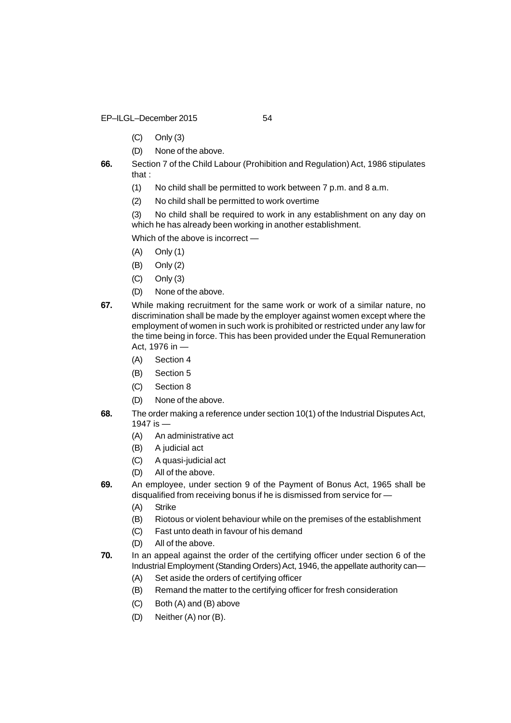- EP–ILGL–December 2015 54
	- (C) Only (3)
	- (D) None of the above.
- **66.** Section 7 of the Child Labour (Prohibition and Regulation) Act, 1986 stipulates that :
	- (1) No child shall be permitted to work between 7 p.m. and 8 a.m.
	- (2) No child shall be permitted to work overtime

(3) No child shall be required to work in any establishment on any day on which he has already been working in another establishment.

Which of the above is incorrect —

- (A) Only (1)
- (B) Only (2)
- (C) Only (3)
- (D) None of the above.
- **67.** While making recruitment for the same work or work of a similar nature, no discrimination shall be made by the employer against women except where the employment of women in such work is prohibited or restricted under any law for the time being in force. This has been provided under the Equal Remuneration Act, 1976 in —
	- (A) Section 4
	- (B) Section 5
	- (C) Section 8
	- (D) None of the above.
- **68.** The order making a reference under section 10(1) of the Industrial Disputes Act, 1947 is —
	- (A) An administrative act
	- (B) A judicial act
	- (C) A quasi-judicial act
	- (D) All of the above.
- **69.** An employee, under section 9 of the Payment of Bonus Act, 1965 shall be disqualified from receiving bonus if he is dismissed from service for —
	- (A) Strike
	- (B) Riotous or violent behaviour while on the premises of the establishment
	- (C) Fast unto death in favour of his demand
	- (D) All of the above.
- **70.** In an appeal against the order of the certifying officer under section 6 of the Industrial Employment (Standing Orders) Act, 1946, the appellate authority can—
	- (A) Set aside the orders of certifying officer
	- (B) Remand the matter to the certifying officer for fresh consideration
	- (C) Both (A) and (B) above
	- (D) Neither (A) nor (B).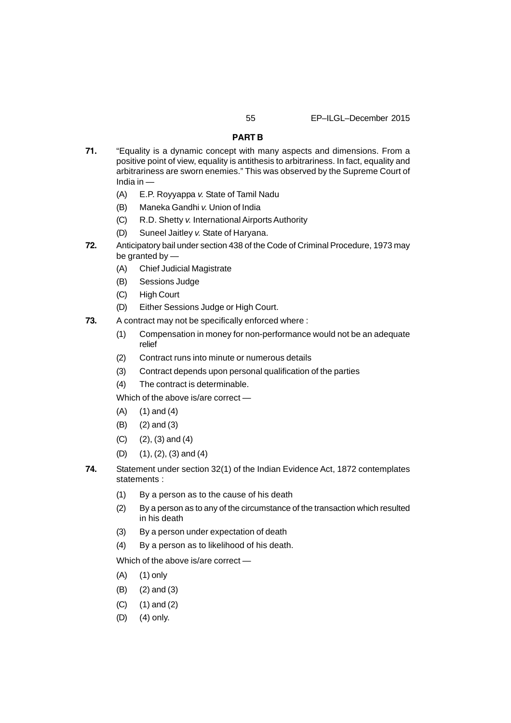# **PART B**

- **71.** "Equality is a dynamic concept with many aspects and dimensions. From a positive point of view, equality is antithesis to arbitrariness. In fact, equality and arbitrariness are sworn enemies." This was observed by the Supreme Court of India in —
	- (A) E.P. Royyappa *v.* State of Tamil Nadu
	- (B) Maneka Gandhi *v.* Union of India
	- (C) R.D. Shetty *v.* International Airports Authority
	- (D) Suneel Jaitley *v.* State of Haryana.
- **72.** Anticipatory bail under section 438 of the Code of Criminal Procedure, 1973 may be granted by —
	- (A) Chief Judicial Magistrate
	- (B) Sessions Judge
	- (C) High Court
	- (D) Either Sessions Judge or High Court.
- **73.** A contract may not be specifically enforced where :
	- (1) Compensation in money for non-performance would not be an adequate relief
	- (2) Contract runs into minute or numerous details
	- (3) Contract depends upon personal qualification of the parties
	- (4) The contract is determinable.

Which of the above is/are correct —

- (A) (1) and (4)
- (B) (2) and (3)
- (C) (2), (3) and (4)
- (D) (1), (2), (3) and (4)
- **74.** Statement under section 32(1) of the Indian Evidence Act, 1872 contemplates statements :
	- (1) By a person as to the cause of his death
	- (2) By a person as to any of the circumstance of the transaction which resulted in his death
	- (3) By a person under expectation of death
	- (4) By a person as to likelihood of his death.

Which of the above is/are correct —

- (A) (1) only
- (B) (2) and (3)
- (C) (1) and (2)
- (D) (4) only.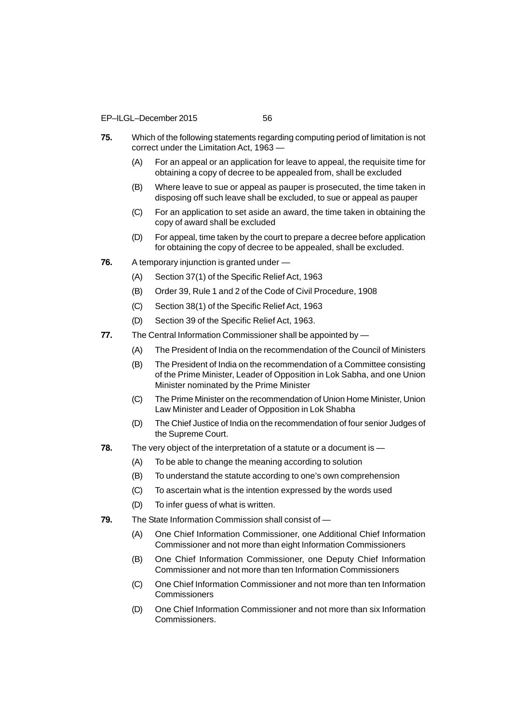- **75.** Which of the following statements regarding computing period of limitation is not correct under the Limitation Act, 1963 —
	- (A) For an appeal or an application for leave to appeal, the requisite time for obtaining a copy of decree to be appealed from, shall be excluded
	- (B) Where leave to sue or appeal as pauper is prosecuted, the time taken in disposing off such leave shall be excluded, to sue or appeal as pauper
	- (C) For an application to set aside an award, the time taken in obtaining the copy of award shall be excluded
	- (D) For appeal, time taken by the court to prepare a decree before application for obtaining the copy of decree to be appealed, shall be excluded.
- **76.** A temporary injunction is granted under
	- (A) Section 37(1) of the Specific Relief Act, 1963
	- (B) Order 39, Rule 1 and 2 of the Code of Civil Procedure, 1908
	- (C) Section 38(1) of the Specific Relief Act, 1963
	- (D) Section 39 of the Specific Relief Act, 1963.
- **77.** The Central Information Commissioner shall be appointed by
	- (A) The President of India on the recommendation of the Council of Ministers
	- (B) The President of India on the recommendation of a Committee consisting of the Prime Minister, Leader of Opposition in Lok Sabha, and one Union Minister nominated by the Prime Minister
	- (C) The Prime Minister on the recommendation of Union Home Minister, Union Law Minister and Leader of Opposition in Lok Shabha
	- (D) The Chief Justice of India on the recommendation of four senior Judges of the Supreme Court.
- **78.** The very object of the interpretation of a statute or a document is
	- (A) To be able to change the meaning according to solution
	- (B) To understand the statute according to one's own comprehension
	- (C) To ascertain what is the intention expressed by the words used
	- (D) To infer guess of what is written.
- **79.** The State Information Commission shall consist of
	- (A) One Chief Information Commissioner, one Additional Chief Information Commissioner and not more than eight Information Commissioners
	- (B) One Chief Information Commissioner, one Deputy Chief Information Commissioner and not more than ten Information Commissioners
	- (C) One Chief Information Commissioner and not more than ten Information **Commissioners**
	- (D) One Chief Information Commissioner and not more than six Information Commissioners.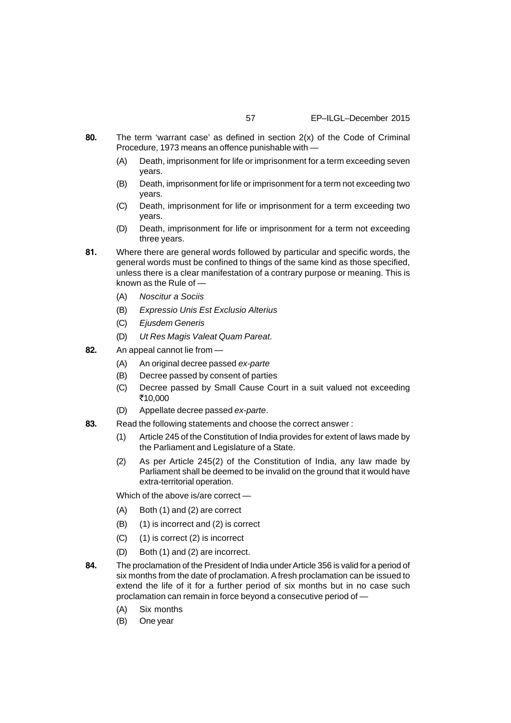- **80.** The term 'warrant case' as defined in section 2(x) of the Code of Criminal Procedure, 1973 means an offence punishable with —
	- (A) Death, imprisonment for life or imprisonment for a term exceeding seven years.
	- (B) Death, imprisonment for life or imprisonment for a term not exceeding two years.
	- (C) Death, imprisonment for life or imprisonment for a term exceeding two years.
	- (D) Death, imprisonment for life or imprisonment for a term not exceeding three years.
- **81.** Where there are general words followed by particular and specific words, the general words must be confined to things of the same kind as those specified, unless there is a clear manifestation of a contrary purpose or meaning. This is known as the Rule of —
	- (A) *Noscitur a Sociis*
	- (B) *Expressio Unis Est Exclusio Alterius*
	- (C) *Ejusdem Generis*
	- (D) *Ut Res Magis Valeat Quam Pareat*.
- **82.** An appeal cannot lie from
	- (A) An original decree passed *ex-parte*
	- (B) Decree passed by consent of parties
	- (C) Decree passed by Small Cause Court in a suit valued not exceeding ₹10,000
	- (D) Appellate decree passed *ex-parte*.
- **83.** Read the following statements and choose the correct answer :
	- (1) Article 245 of the Constitution of India provides for extent of laws made by the Parliament and Legislature of a State.
	- (2) As per Article 245(2) of the Constitution of India, any law made by Parliament shall be deemed to be invalid on the ground that it would have extra-territorial operation.
	- Which of the above is/are correct —
	- (A) Both (1) and (2) are correct
	- (B) (1) is incorrect and (2) is correct
	- (C) (1) is correct (2) is incorrect
	- (D) Both (1) and (2) are incorrect.
- **84.** The proclamation of the President of India under Article 356 is valid for a period of six months from the date of proclamation. A fresh proclamation can be issued to extend the life of it for a further period of six months but in no case such proclamation can remain in force beyond a consecutive period of —
	- (A) Six months
	- (B) One year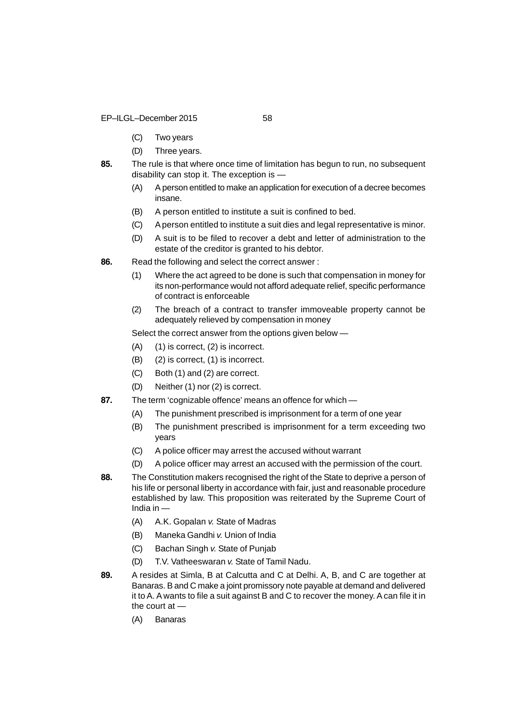EP–ILGL–December 2015 58

- (C) Two years
- (D) Three years.
- **85.** The rule is that where once time of limitation has begun to run, no subsequent disability can stop it. The exception is —
	- (A) A person entitled to make an application for execution of a decree becomes insane.
	- (B) A person entitled to institute a suit is confined to bed.
	- (C) A person entitled to institute a suit dies and legal representative is minor.
	- (D) A suit is to be filed to recover a debt and letter of administration to the estate of the creditor is granted to his debtor.
- **86.** Read the following and select the correct answer :
	- (1) Where the act agreed to be done is such that compensation in money for its non-performance would not afford adequate relief, specific performance of contract is enforceable
	- (2) The breach of a contract to transfer immoveable property cannot be adequately relieved by compensation in money

Select the correct answer from the options given below —

- (A) (1) is correct, (2) is incorrect.
- (B) (2) is correct, (1) is incorrect.
- (C) Both (1) and (2) are correct.
- (D) Neither (1) nor (2) is correct.
- **87.** The term 'cognizable offence' means an offence for which
	- (A) The punishment prescribed is imprisonment for a term of one year
	- (B) The punishment prescribed is imprisonment for a term exceeding two years
	- (C) A police officer may arrest the accused without warrant
	- (D) A police officer may arrest an accused with the permission of the court.
- **88.** The Constitution makers recognised the right of the State to deprive a person of his life or personal liberty in accordance with fair, just and reasonable procedure established by law. This proposition was reiterated by the Supreme Court of India in —
	- (A) A.K. Gopalan *v.* State of Madras
	- (B) Maneka Gandhi *v.* Union of India
	- (C) Bachan Singh *v.* State of Punjab
	- (D) T.V. Vatheeswaran *v.* State of Tamil Nadu.
- **89.** A resides at Simla, B at Calcutta and C at Delhi. A, B, and C are together at Banaras. B and C make a joint promissory note payable at demand and delivered it to A. A wants to file a suit against B and C to recover the money. A can file it in the court at —
	- (A) Banaras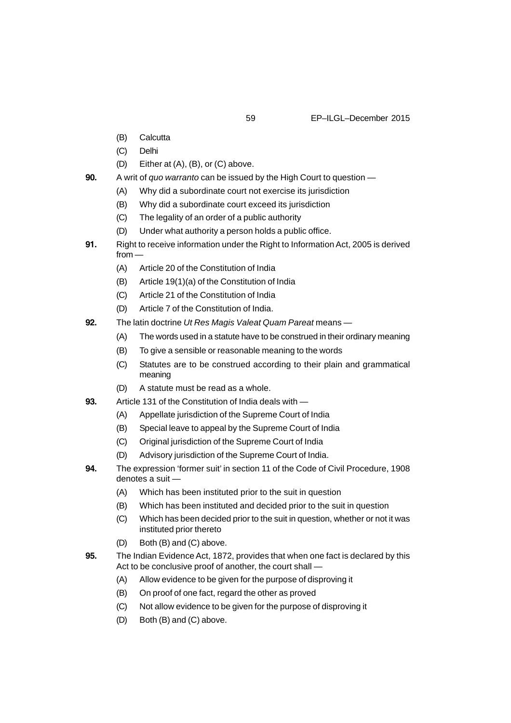- (B) Calcutta
- (C) Delhi
- (D) Either at (A), (B), or (C) above.
- **90.** A writ of *quo warranto* can be issued by the High Court to question
	- (A) Why did a subordinate court not exercise its jurisdiction
	- (B) Why did a subordinate court exceed its jurisdiction
	- (C) The legality of an order of a public authority
	- (D) Under what authority a person holds a public office.
- **91.** Right to receive information under the Right to Information Act, 2005 is derived from —
	- (A) Article 20 of the Constitution of India
	- (B) Article 19(1)(a) of the Constitution of India
	- (C) Article 21 of the Constitution of India
	- (D) Article 7 of the Constitution of India.
- **92.** The latin doctrine *Ut Res Magis Valeat Quam Pareat* means
	- (A) The words used in a statute have to be construed in their ordinary meaning
	- (B) To give a sensible or reasonable meaning to the words
	- (C) Statutes are to be construed according to their plain and grammatical meaning
	- (D) A statute must be read as a whole.
- **93.** Article 131 of the Constitution of India deals with
	- (A) Appellate jurisdiction of the Supreme Court of India
	- (B) Special leave to appeal by the Supreme Court of India
	- (C) Original jurisdiction of the Supreme Court of India
	- (D) Advisory jurisdiction of the Supreme Court of India.
- **94.** The expression 'former suit' in section 11 of the Code of Civil Procedure, 1908 denotes a suit —
	- (A) Which has been instituted prior to the suit in question
	- (B) Which has been instituted and decided prior to the suit in question
	- (C) Which has been decided prior to the suit in question, whether or not it was instituted prior thereto
	- (D) Both (B) and (C) above.
- **95.** The Indian Evidence Act, 1872, provides that when one fact is declared by this Act to be conclusive proof of another, the court shall —
	- (A) Allow evidence to be given for the purpose of disproving it
	- (B) On proof of one fact, regard the other as proved
	- (C) Not allow evidence to be given for the purpose of disproving it
	- (D) Both (B) and (C) above.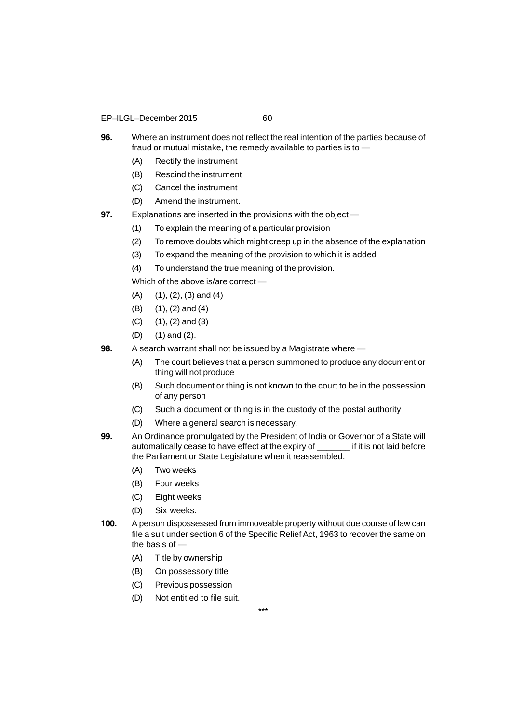- EP–ILGL–December 2015 60
	-
- **96.** Where an instrument does not reflect the real intention of the parties because of fraud or mutual mistake, the remedy available to parties is to —
	- (A) Rectify the instrument
	- (B) Rescind the instrument
	- (C) Cancel the instrument
	- (D) Amend the instrument.
- **97.** Explanations are inserted in the provisions with the object
	- (1) To explain the meaning of a particular provision
	- (2) To remove doubts which might creep up in the absence of the explanation
	- (3) To expand the meaning of the provision to which it is added
	- (4) To understand the true meaning of the provision.

Which of the above is/are correct —

- $(A)$   $(1), (2), (3)$  and  $(4)$
- (B) (1), (2) and (4)
- $(C)$   $(1), (2)$  and  $(3)$
- (D) (1) and (2).
- **98.** A search warrant shall not be issued by a Magistrate where
	- (A) The court believes that a person summoned to produce any document or thing will not produce
	- (B) Such document or thing is not known to the court to be in the possession of any person
	- (C) Such a document or thing is in the custody of the postal authority
	- (D) Where a general search is necessary.
- **99.** An Ordinance promulgated by the President of India or Governor of a State will automatically cease to have effect at the expiry of \_\_\_\_\_\_\_ if it is not laid before the Parliament or State Legislature when it reassembled.
	- (A) Two weeks
	- (B) Four weeks
	- (C) Eight weeks
	- (D) Six weeks.
- **100.** A person dispossessed from immoveable property without due course of law can file a suit under section 6 of the Specific Relief Act, 1963 to recover the same on the basis of —
	- (A) Title by ownership
	- (B) On possessory title
	- (C) Previous possession
	- (D) Not entitled to file suit.